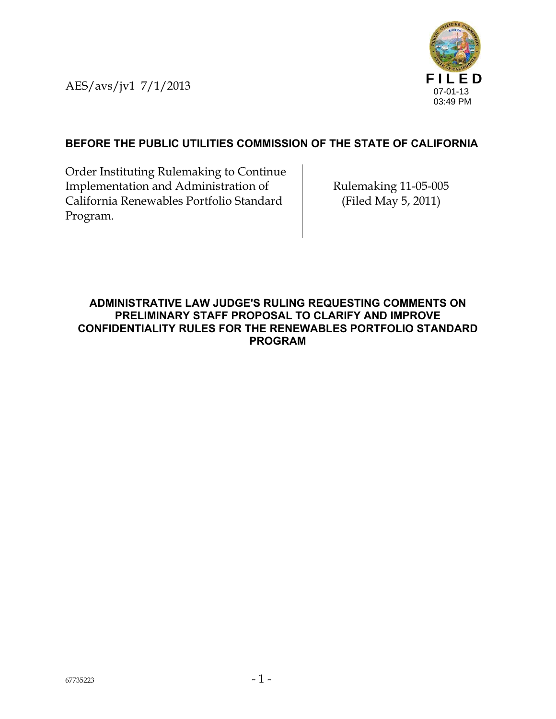AES/avs/jv1 7/1/2013



# **BEFORE THE PUBLIC UTILITIES COMMISSION OF THE STATE OF CALIFORNIA**

Order Instituting Rulemaking to Continue Implementation and Administration of California Renewables Portfolio Standard Program.

Rulemaking 11-05-005 (Filed May 5, 2011)

#### **ADMINISTRATIVE LAW JUDGE'S RULING REQUESTING COMMENTS ON PRELIMINARY STAFF PROPOSAL TO CLARIFY AND IMPROVE CONFIDENTIALITY RULES FOR THE RENEWABLES PORTFOLIO STANDARD PROGRAM**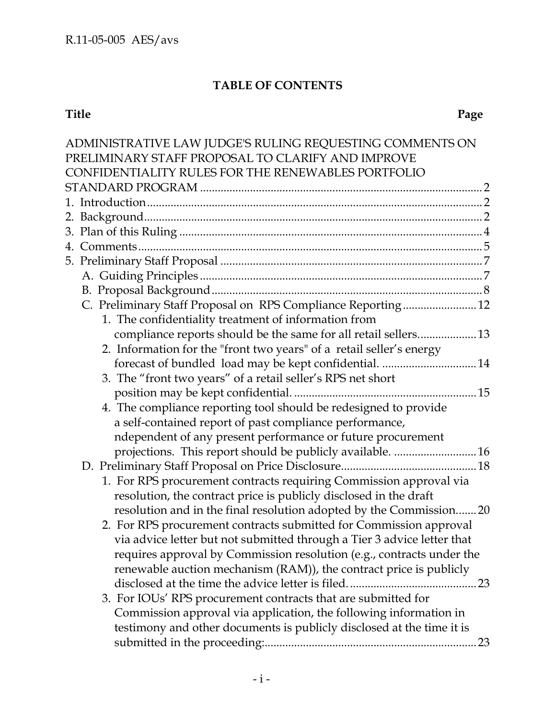# **TABLE OF CONTENTS**

#### **Title Page**

| ADMINISTRATIVE LAW JUDGE'S RULING REQUESTING COMMENTS ON                |  |  |  |  |
|-------------------------------------------------------------------------|--|--|--|--|
| PRELIMINARY STAFF PROPOSAL TO CLARIFY AND IMPROVE                       |  |  |  |  |
| CONFIDENTIALITY RULES FOR THE RENEWABLES PORTFOLIO                      |  |  |  |  |
|                                                                         |  |  |  |  |
|                                                                         |  |  |  |  |
|                                                                         |  |  |  |  |
|                                                                         |  |  |  |  |
|                                                                         |  |  |  |  |
|                                                                         |  |  |  |  |
|                                                                         |  |  |  |  |
|                                                                         |  |  |  |  |
| C. Preliminary Staff Proposal on RPS Compliance Reporting 12            |  |  |  |  |
| 1. The confidentiality treatment of information from                    |  |  |  |  |
| compliance reports should be the same for all retail sellers 13         |  |  |  |  |
| 2. Information for the "front two years" of a retail seller's energy    |  |  |  |  |
| forecast of bundled load may be kept confidential.  14                  |  |  |  |  |
| 3. The "front two years" of a retail seller's RPS net short             |  |  |  |  |
|                                                                         |  |  |  |  |
| 4. The compliance reporting tool should be redesigned to provide        |  |  |  |  |
| a self-contained report of past compliance performance,                 |  |  |  |  |
| ndependent of any present performance or future procurement             |  |  |  |  |
| projections. This report should be publicly available. 16               |  |  |  |  |
|                                                                         |  |  |  |  |
| 1. For RPS procurement contracts requiring Commission approval via      |  |  |  |  |
| resolution, the contract price is publicly disclosed in the draft       |  |  |  |  |
| resolution and in the final resolution adopted by the Commission 20     |  |  |  |  |
| 2. For RPS procurement contracts submitted for Commission approval      |  |  |  |  |
| via advice letter but not submitted through a Tier 3 advice letter that |  |  |  |  |
| requires approval by Commission resolution (e.g., contracts under the   |  |  |  |  |
| renewable auction mechanism (RAM)), the contract price is publicly      |  |  |  |  |
|                                                                         |  |  |  |  |
| 3. For IOUs' RPS procurement contracts that are submitted for           |  |  |  |  |
| Commission approval via application, the following information in       |  |  |  |  |
| testimony and other documents is publicly disclosed at the time it is   |  |  |  |  |
|                                                                         |  |  |  |  |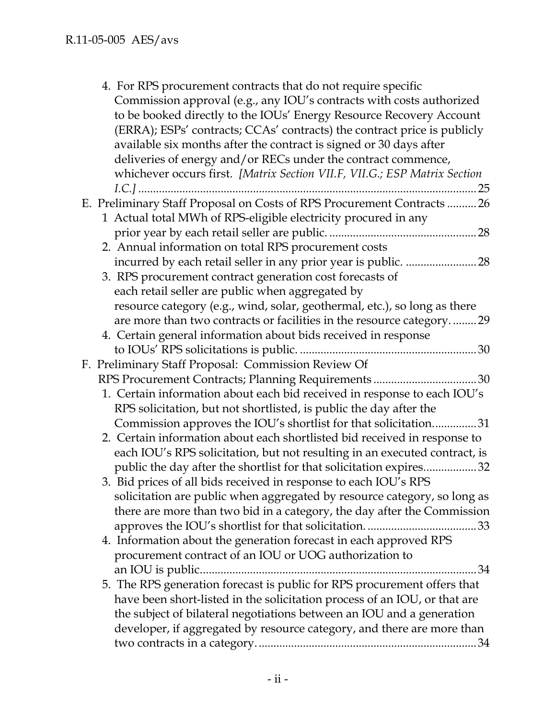| 4. For RPS procurement contracts that do not require specific<br>Commission approval (e.g., any IOU's contracts with costs authorized<br>to be booked directly to the IOUs' Energy Resource Recovery Account<br>(ERRA); ESPs' contracts; CCAs' contracts) the contract price is publicly<br>available six months after the contract is signed or 30 days after |  |
|----------------------------------------------------------------------------------------------------------------------------------------------------------------------------------------------------------------------------------------------------------------------------------------------------------------------------------------------------------------|--|
| deliveries of energy and/or RECs under the contract commence,<br>whichever occurs first. [Matrix Section VII.F, VII.G.; ESP Matrix Section<br>$I.C.]$<br>25                                                                                                                                                                                                    |  |
| E. Preliminary Staff Proposal on Costs of RPS Procurement Contracts  26<br>1 Actual total MWh of RPS-eligible electricity procured in any                                                                                                                                                                                                                      |  |
|                                                                                                                                                                                                                                                                                                                                                                |  |
| 2. Annual information on total RPS procurement costs                                                                                                                                                                                                                                                                                                           |  |
| 3. RPS procurement contract generation cost forecasts of                                                                                                                                                                                                                                                                                                       |  |
| each retail seller are public when aggregated by                                                                                                                                                                                                                                                                                                               |  |
| resource category (e.g., wind, solar, geothermal, etc.), so long as there                                                                                                                                                                                                                                                                                      |  |
| are more than two contracts or facilities in the resource category29                                                                                                                                                                                                                                                                                           |  |
| 4. Certain general information about bids received in response                                                                                                                                                                                                                                                                                                 |  |
|                                                                                                                                                                                                                                                                                                                                                                |  |
| F. Preliminary Staff Proposal: Commission Review Of                                                                                                                                                                                                                                                                                                            |  |
| RPS Procurement Contracts; Planning Requirements30                                                                                                                                                                                                                                                                                                             |  |
| 1. Certain information about each bid received in response to each IOU's                                                                                                                                                                                                                                                                                       |  |
| RPS solicitation, but not shortlisted, is public the day after the                                                                                                                                                                                                                                                                                             |  |
| Commission approves the IOU's shortlist for that solicitation31                                                                                                                                                                                                                                                                                                |  |
| 2. Certain information about each shortlisted bid received in response to<br>each IOU's RPS solicitation, but not resulting in an executed contract, is                                                                                                                                                                                                        |  |
| public the day after the shortlist for that solicitation expires32                                                                                                                                                                                                                                                                                             |  |
| 3. Bid prices of all bids received in response to each IOU's RPS                                                                                                                                                                                                                                                                                               |  |
| solicitation are public when aggregated by resource category, so long as                                                                                                                                                                                                                                                                                       |  |
| there are more than two bid in a category, the day after the Commission                                                                                                                                                                                                                                                                                        |  |
|                                                                                                                                                                                                                                                                                                                                                                |  |
| 4. Information about the generation forecast in each approved RPS                                                                                                                                                                                                                                                                                              |  |
| procurement contract of an IOU or UOG authorization to                                                                                                                                                                                                                                                                                                         |  |
| an IOU is public<br>. 34                                                                                                                                                                                                                                                                                                                                       |  |
| 5. The RPS generation forecast is public for RPS procurement offers that                                                                                                                                                                                                                                                                                       |  |
| have been short-listed in the solicitation process of an IOU, or that are                                                                                                                                                                                                                                                                                      |  |
| the subject of bilateral negotiations between an IOU and a generation                                                                                                                                                                                                                                                                                          |  |
| developer, if aggregated by resource category, and there are more than                                                                                                                                                                                                                                                                                         |  |
| .34                                                                                                                                                                                                                                                                                                                                                            |  |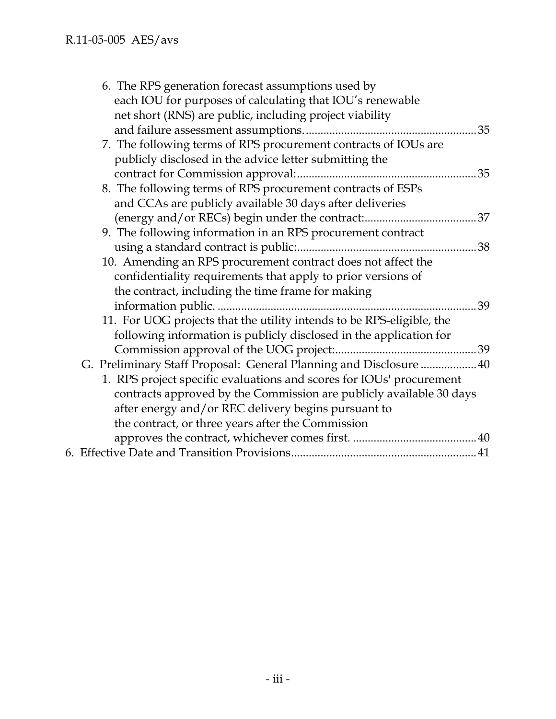| 6. The RPS generation forecast assumptions used by                    |     |
|-----------------------------------------------------------------------|-----|
| each IOU for purposes of calculating that IOU's renewable             |     |
| net short (RNS) are public, including project viability               |     |
|                                                                       |     |
| 7. The following terms of RPS procurement contracts of IOUs are       |     |
| publicly disclosed in the advice letter submitting the                |     |
|                                                                       | .35 |
| 8. The following terms of RPS procurement contracts of ESPs           |     |
| and CCAs are publicly available 30 days after deliveries              |     |
|                                                                       |     |
| 9. The following information in an RPS procurement contract           |     |
|                                                                       |     |
| 10. Amending an RPS procurement contract does not affect the          |     |
| confidentiality requirements that apply to prior versions of          |     |
| the contract, including the time frame for making                     |     |
|                                                                       | 39  |
| 11. For UOG projects that the utility intends to be RPS-eligible, the |     |
| following information is publicly disclosed in the application for    |     |
|                                                                       |     |
| G. Preliminary Staff Proposal: General Planning and Disclosure  40    |     |
| 1. RPS project specific evaluations and scores for IOUs' procurement  |     |
| contracts approved by the Commission are publicly available 30 days   |     |
| after energy and/or REC delivery begins pursuant to                   |     |
| the contract, or three years after the Commission                     |     |
|                                                                       |     |
|                                                                       |     |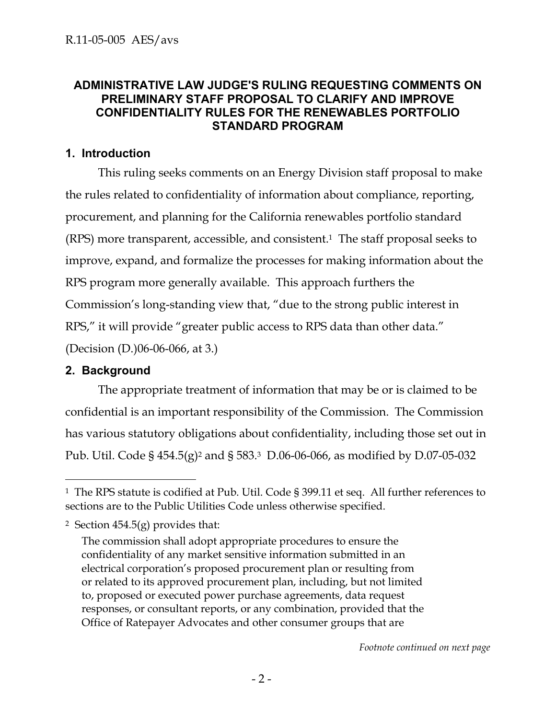### **ADMINISTRATIVE LAW JUDGE'S RULING REQUESTING COMMENTS ON PRELIMINARY STAFF PROPOSAL TO CLARIFY AND IMPROVE CONFIDENTIALITY RULES FOR THE RENEWABLES PORTFOLIO STANDARD PROGRAM**

## **1. Introduction**

This ruling seeks comments on an Energy Division staff proposal to make the rules related to confidentiality of information about compliance, reporting, procurement, and planning for the California renewables portfolio standard (RPS) more transparent, accessible, and consistent.1 The staff proposal seeks to improve, expand, and formalize the processes for making information about the RPS program more generally available. This approach furthers the Commission's long-standing view that, "due to the strong public interest in RPS," it will provide "greater public access to RPS data than other data." (Decision (D.)06-06-066, at 3.)

# **2. Background**

-

The appropriate treatment of information that may be or is claimed to be confidential is an important responsibility of the Commission. The Commission has various statutory obligations about confidentiality, including those set out in Pub. Util. Code § 454.5(g)2 and § 583.3 D.06-06-066, as modified by D.07-05-032

*Footnote continued on next page*

<sup>&</sup>lt;sup>1</sup> The RPS statute is codified at Pub. Util. Code § 399.11 et seq. All further references to sections are to the Public Utilities Code unless otherwise specified.

<sup>&</sup>lt;sup>2</sup> Section  $454.5(g)$  provides that:

The commission shall adopt appropriate procedures to ensure the confidentiality of any market sensitive information submitted in an electrical corporation's proposed procurement plan or resulting from or related to its approved procurement plan, including, but not limited to, proposed or executed power purchase agreements, data request responses, or consultant reports, or any combination, provided that the Office of Ratepayer Advocates and other consumer groups that are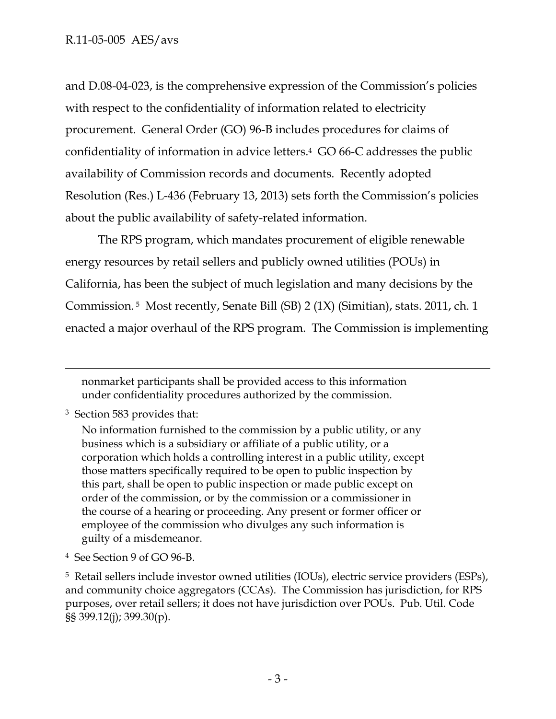and D.08-04-023, is the comprehensive expression of the Commission's policies with respect to the confidentiality of information related to electricity procurement. General Order (GO) 96-B includes procedures for claims of confidentiality of information in advice letters.4 GO 66-C addresses the public availability of Commission records and documents. Recently adopted Resolution (Res.) L-436 (February 13, 2013) sets forth the Commission's policies about the public availability of safety-related information.

The RPS program, which mandates procurement of eligible renewable energy resources by retail sellers and publicly owned utilities (POUs) in California, has been the subject of much legislation and many decisions by the Commission. 5 Most recently, Senate Bill (SB) 2 (1X) (Simitian), stats. 2011, ch. 1 enacted a major overhaul of the RPS program. The Commission is implementing

nonmarket participants shall be provided access to this information under confidentiality procedures authorized by the commission.

3 Section 583 provides that:

 $\overline{a}$ 

No information furnished to the commission by a public utility, or any business which is a subsidiary or affiliate of a public utility, or a corporation which holds a controlling interest in a public utility, except those matters specifically required to be open to public inspection by this part, shall be open to public inspection or made public except on order of the commission, or by the commission or a commissioner in the course of a hearing or proceeding. Any present or former officer or employee of the commission who divulges any such information is guilty of a misdemeanor.

4 See Section 9 of GO 96-B.

5 Retail sellers include investor owned utilities (IOUs), electric service providers (ESPs), and community choice aggregators (CCAs). The Commission has jurisdiction, for RPS purposes, over retail sellers; it does not have jurisdiction over POUs. Pub. Util. Code §§ 399.12(j); 399.30(p).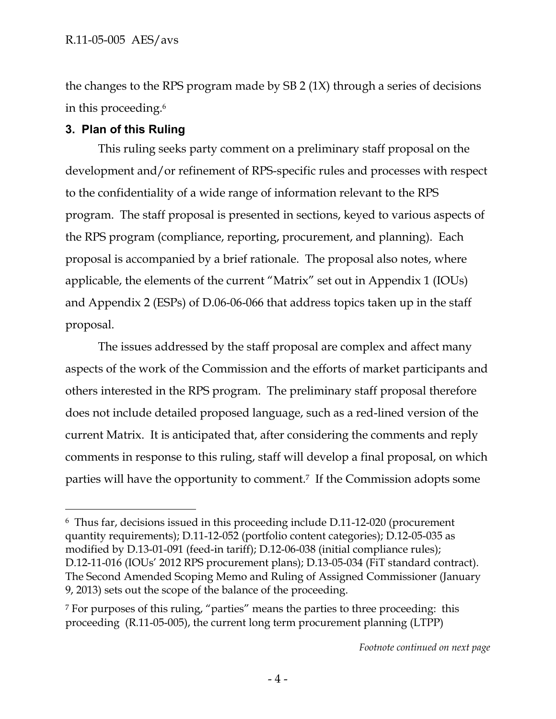the changes to the RPS program made by SB 2 (1X) through a series of decisions in this proceeding.6

# **3. Plan of this Ruling**

This ruling seeks party comment on a preliminary staff proposal on the development and/or refinement of RPS-specific rules and processes with respect to the confidentiality of a wide range of information relevant to the RPS program. The staff proposal is presented in sections, keyed to various aspects of the RPS program (compliance, reporting, procurement, and planning). Each proposal is accompanied by a brief rationale. The proposal also notes, where applicable, the elements of the current "Matrix" set out in Appendix 1 (IOUs) and Appendix 2 (ESPs) of D.06-06-066 that address topics taken up in the staff proposal.

The issues addressed by the staff proposal are complex and affect many aspects of the work of the Commission and the efforts of market participants and others interested in the RPS program. The preliminary staff proposal therefore does not include detailed proposed language, such as a red-lined version of the current Matrix. It is anticipated that, after considering the comments and reply comments in response to this ruling, staff will develop a final proposal, on which parties will have the opportunity to comment.7 If the Commission adopts some

<sup>-</sup>6 Thus far, decisions issued in this proceeding include D.11-12-020 (procurement quantity requirements); D.11-12-052 (portfolio content categories); D.12-05-035 as modified by D.13-01-091 (feed-in tariff); D.12-06-038 (initial compliance rules); D.12-11-016 (IOUs' 2012 RPS procurement plans); D.13-05-034 (FiT standard contract). The Second Amended Scoping Memo and Ruling of Assigned Commissioner (January 9, 2013) sets out the scope of the balance of the proceeding.

<sup>7</sup> For purposes of this ruling, "parties" means the parties to three proceeding: this proceeding (R.11-05-005), the current long term procurement planning (LTPP)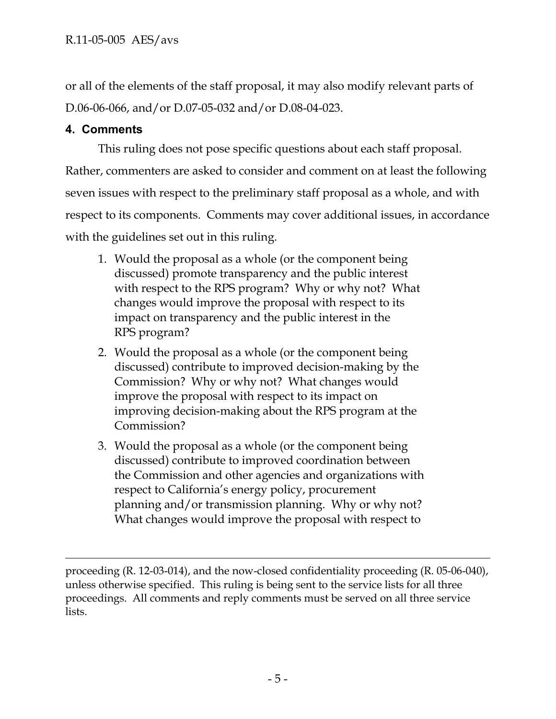or all of the elements of the staff proposal, it may also modify relevant parts of D.06-06-066, and/or D.07-05-032 and/or D.08-04-023.

# **4. Comments**

-

This ruling does not pose specific questions about each staff proposal. Rather, commenters are asked to consider and comment on at least the following seven issues with respect to the preliminary staff proposal as a whole, and with respect to its components. Comments may cover additional issues, in accordance with the guidelines set out in this ruling.

- 1. Would the proposal as a whole (or the component being discussed) promote transparency and the public interest with respect to the RPS program? Why or why not? What changes would improve the proposal with respect to its impact on transparency and the public interest in the RPS program?
- 2. Would the proposal as a whole (or the component being discussed) contribute to improved decision-making by the Commission? Why or why not? What changes would improve the proposal with respect to its impact on improving decision-making about the RPS program at the Commission?
- 3. Would the proposal as a whole (or the component being discussed) contribute to improved coordination between the Commission and other agencies and organizations with respect to California's energy policy, procurement planning and/or transmission planning. Why or why not? What changes would improve the proposal with respect to

proceeding (R. 12-03-014), and the now-closed confidentiality proceeding (R. 05-06-040), unless otherwise specified. This ruling is being sent to the service lists for all three proceedings. All comments and reply comments must be served on all three service lists.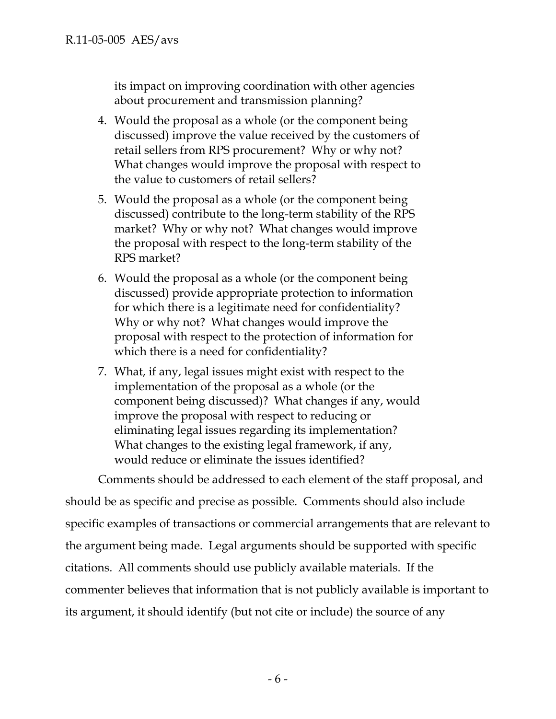its impact on improving coordination with other agencies about procurement and transmission planning?

- 4. Would the proposal as a whole (or the component being discussed) improve the value received by the customers of retail sellers from RPS procurement? Why or why not? What changes would improve the proposal with respect to the value to customers of retail sellers?
- 5. Would the proposal as a whole (or the component being discussed) contribute to the long-term stability of the RPS market? Why or why not? What changes would improve the proposal with respect to the long-term stability of the RPS market?
- 6. Would the proposal as a whole (or the component being discussed) provide appropriate protection to information for which there is a legitimate need for confidentiality? Why or why not? What changes would improve the proposal with respect to the protection of information for which there is a need for confidentiality?
- 7. What, if any, legal issues might exist with respect to the implementation of the proposal as a whole (or the component being discussed)? What changes if any, would improve the proposal with respect to reducing or eliminating legal issues regarding its implementation? What changes to the existing legal framework, if any, would reduce or eliminate the issues identified?

Comments should be addressed to each element of the staff proposal, and should be as specific and precise as possible. Comments should also include specific examples of transactions or commercial arrangements that are relevant to the argument being made. Legal arguments should be supported with specific citations. All comments should use publicly available materials. If the commenter believes that information that is not publicly available is important to its argument, it should identify (but not cite or include) the source of any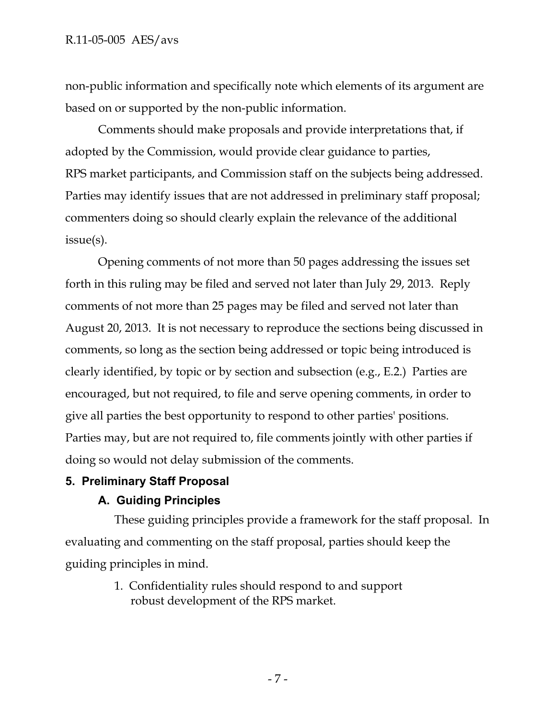non-public information and specifically note which elements of its argument are based on or supported by the non-public information.

Comments should make proposals and provide interpretations that, if adopted by the Commission, would provide clear guidance to parties, RPS market participants, and Commission staff on the subjects being addressed. Parties may identify issues that are not addressed in preliminary staff proposal; commenters doing so should clearly explain the relevance of the additional issue(s).

Opening comments of not more than 50 pages addressing the issues set forth in this ruling may be filed and served not later than July 29, 2013. Reply comments of not more than 25 pages may be filed and served not later than August 20, 2013. It is not necessary to reproduce the sections being discussed in comments, so long as the section being addressed or topic being introduced is clearly identified, by topic or by section and subsection (e.g., E.2.) Parties are encouraged, but not required, to file and serve opening comments, in order to give all parties the best opportunity to respond to other parties' positions. Parties may, but are not required to, file comments jointly with other parties if doing so would not delay submission of the comments.

# **5. Preliminary Staff Proposal**

# **A. Guiding Principles**

These guiding principles provide a framework for the staff proposal. In evaluating and commenting on the staff proposal, parties should keep the guiding principles in mind.

> 1. Confidentiality rules should respond to and support robust development of the RPS market.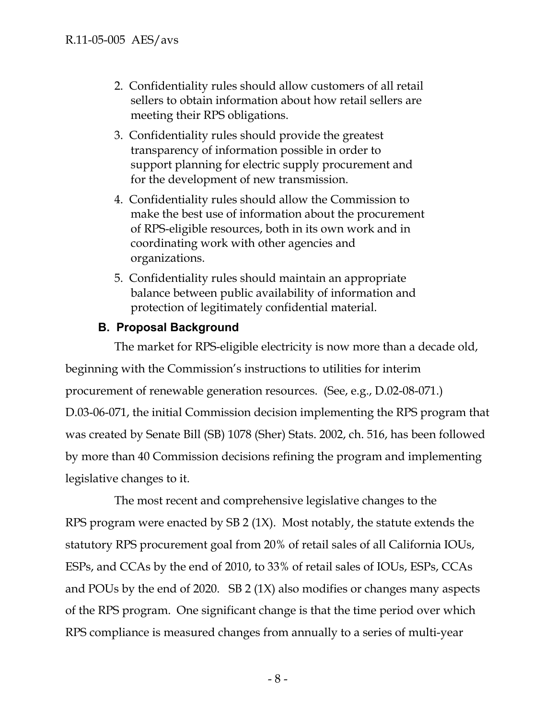- 2. Confidentiality rules should allow customers of all retail sellers to obtain information about how retail sellers are meeting their RPS obligations.
- 3. Confidentiality rules should provide the greatest transparency of information possible in order to support planning for electric supply procurement and for the development of new transmission.
- 4. Confidentiality rules should allow the Commission to make the best use of information about the procurement of RPS-eligible resources, both in its own work and in coordinating work with other agencies and organizations.
- 5. Confidentiality rules should maintain an appropriate balance between public availability of information and protection of legitimately confidential material.

# **B. Proposal Background**

The market for RPS-eligible electricity is now more than a decade old,

beginning with the Commission's instructions to utilities for interim procurement of renewable generation resources. (See, e.g., D.02-08-071.) D.03-06-071, the initial Commission decision implementing the RPS program that was created by Senate Bill (SB) 1078 (Sher) Stats. 2002, ch. 516, has been followed by more than 40 Commission decisions refining the program and implementing legislative changes to it.

The most recent and comprehensive legislative changes to the RPS program were enacted by SB 2 (1X). Most notably, the statute extends the statutory RPS procurement goal from 20% of retail sales of all California IOUs, ESPs, and CCAs by the end of 2010, to 33% of retail sales of IOUs, ESPs, CCAs and POUs by the end of 2020. SB 2 (1X) also modifies or changes many aspects of the RPS program. One significant change is that the time period over which RPS compliance is measured changes from annually to a series of multi-year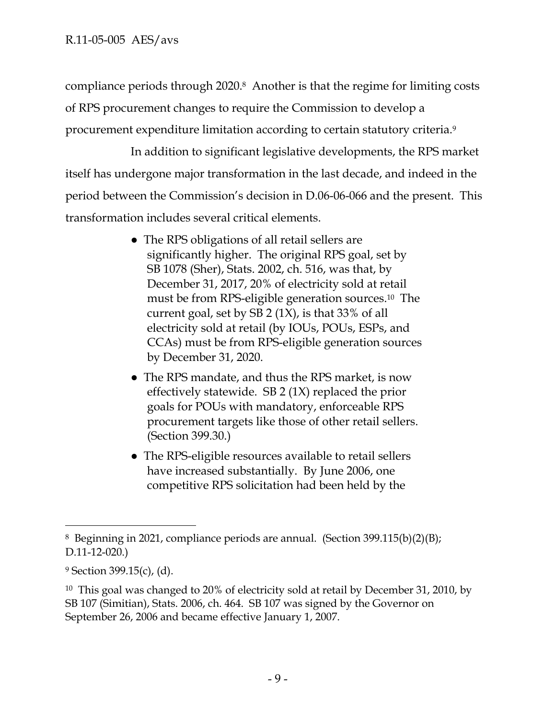compliance periods through 2020.8 Another is that the regime for limiting costs of RPS procurement changes to require the Commission to develop a procurement expenditure limitation according to certain statutory criteria.9

In addition to significant legislative developments, the RPS market itself has undergone major transformation in the last decade, and indeed in the period between the Commission's decision in D.06-06-066 and the present. This transformation includes several critical elements.

- The RPS obligations of all retail sellers are significantly higher. The original RPS goal, set by SB 1078 (Sher), Stats. 2002, ch. 516, was that, by December 31, 2017, 20% of electricity sold at retail must be from RPS-eligible generation sources.10 The current goal, set by SB 2 (1X), is that 33% of all electricity sold at retail (by IOUs, POUs, ESPs, and CCAs) must be from RPS-eligible generation sources by December 31, 2020.
- The RPS mandate, and thus the RPS market, is now effectively statewide. SB 2 (1X) replaced the prior goals for POUs with mandatory, enforceable RPS procurement targets like those of other retail sellers. (Section 399.30.)
- The RPS-eligible resources available to retail sellers have increased substantially. By June 2006, one competitive RPS solicitation had been held by the

 $\overline{a}$ 8 Beginning in 2021, compliance periods are annual. (Section 399.115(b)(2)(B); D.11-12-020.)

 $9$  Section 399.15(c), (d).

<sup>&</sup>lt;sup>10</sup> This goal was changed to 20% of electricity sold at retail by December 31, 2010, by SB 107 (Simitian), Stats. 2006, ch. 464. SB 107 was signed by the Governor on September 26, 2006 and became effective January 1, 2007.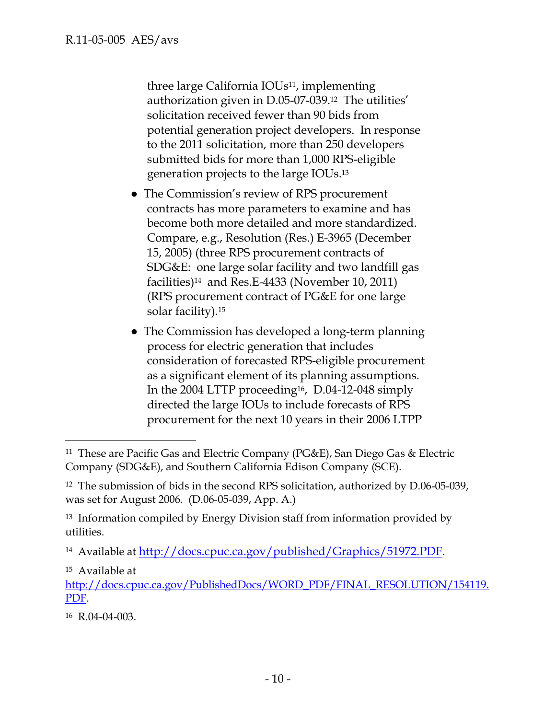three large California IOUs<sup>11</sup>, implementing authorization given in D.05-07-039.12 The utilities' solicitation received fewer than 90 bids from potential generation project developers. In response to the 2011 solicitation, more than 250 developers submitted bids for more than 1,000 RPS-eligible generation projects to the large IOUs.13

- The Commission's review of RPS procurement contracts has more parameters to examine and has become both more detailed and more standardized. Compare, e.g., Resolution (Res.) E-3965 (December 15, 2005) (three RPS procurement contracts of SDG&E: one large solar facility and two landfill gas facilities)14 and Res.E-4433 (November 10, 2011) (RPS procurement contract of PG&E for one large solar facility).15
- The Commission has developed a long-term planning process for electric generation that includes consideration of forecasted RPS-eligible procurement as a significant element of its planning assumptions. In the 2004 LTTP proceeding16, D.04-12-048 simply directed the large IOUs to include forecasts of RPS procurement for the next 10 years in their 2006 LTPP

15 Available at

http://docs.cpuc.ca.gov/PublishedDocs/WORD\_PDF/FINAL\_RESOLUTION/154119. PDF.

16 R.04-04-003.

 $\overline{a}$ <sup>11</sup> These are Pacific Gas and Electric Company (PG&E), San Diego Gas & Electric Company (SDG&E), and Southern California Edison Company (SCE).

<sup>&</sup>lt;sup>12</sup> The submission of bids in the second RPS solicitation, authorized by D.06-05-039, was set for August 2006. (D.06-05-039, App. A.)

<sup>&</sup>lt;sup>13</sup> Information compiled by Energy Division staff from information provided by utilities.

<sup>&</sup>lt;sup>14</sup> Available at http://docs.cpuc.ca.gov/published/Graphics/51972.PDF.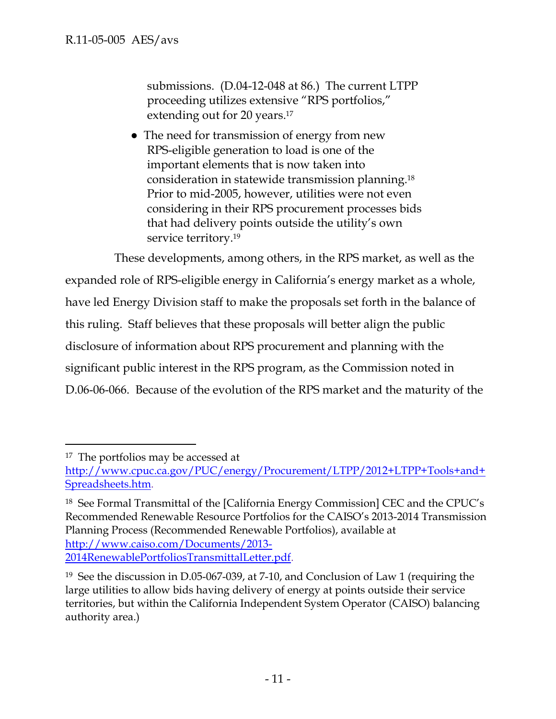submissions. (D.04-12-048 at 86.) The current LTPP proceeding utilizes extensive "RPS portfolios," extending out for 20 years.<sup>17</sup>

• The need for transmission of energy from new RPS-eligible generation to load is one of the important elements that is now taken into consideration in statewide transmission planning.18 Prior to mid-2005, however, utilities were not even considering in their RPS procurement processes bids that had delivery points outside the utility's own service territory.<sup>19</sup>

These developments, among others, in the RPS market, as well as the expanded role of RPS-eligible energy in California's energy market as a whole, have led Energy Division staff to make the proposals set forth in the balance of this ruling. Staff believes that these proposals will better align the public disclosure of information about RPS procurement and planning with the significant public interest in the RPS program, as the Commission noted in D.06-06-066. Because of the evolution of the RPS market and the maturity of the

-

<sup>&</sup>lt;sup>17</sup> The portfolios may be accessed at

http://www.cpuc.ca.gov/PUC/energy/Procurement/LTPP/2012+LTPP+Tools+and+ Spreadsheets.htm.

<sup>18</sup> See Formal Transmittal of the [California Energy Commission] CEC and the CPUC's Recommended Renewable Resource Portfolios for the CAISO's 2013-2014 Transmission Planning Process (Recommended Renewable Portfolios), available at http://www.caiso.com/Documents/2013- 2014RenewablePortfoliosTransmittalLetter.pdf.

<sup>19</sup> See the discussion in D.05-067-039, at 7-10, and Conclusion of Law 1 (requiring the large utilities to allow bids having delivery of energy at points outside their service territories, but within the California Independent System Operator (CAISO) balancing authority area.)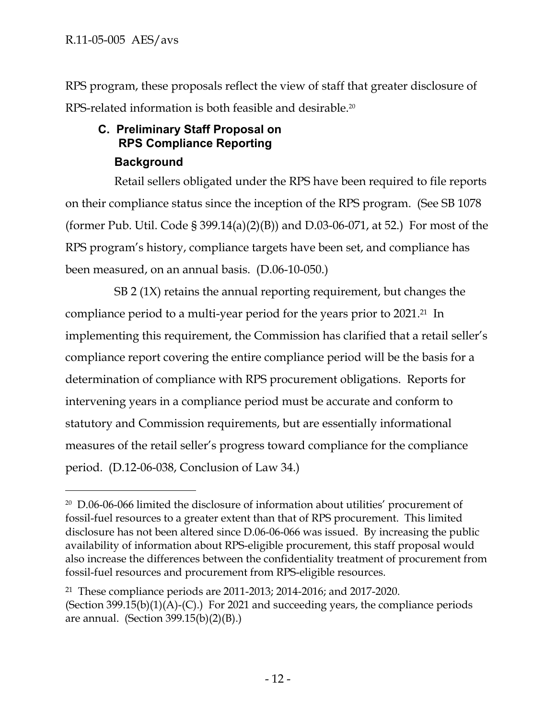$\overline{a}$ 

RPS program, these proposals reflect the view of staff that greater disclosure of RPS-related information is both feasible and desirable.<sup>20</sup>

# **C. Preliminary Staff Proposal on RPS Compliance Reporting Background**

Retail sellers obligated under the RPS have been required to file reports on their compliance status since the inception of the RPS program. (See SB 1078 (former Pub. Util. Code § 399.14(a)(2)(B)) and D.03-06-071, at 52.) For most of the RPS program's history, compliance targets have been set, and compliance has been measured, on an annual basis. (D.06-10-050.)

SB 2 (1X) retains the annual reporting requirement, but changes the compliance period to a multi-year period for the years prior to 2021.21 In implementing this requirement, the Commission has clarified that a retail seller's compliance report covering the entire compliance period will be the basis for a determination of compliance with RPS procurement obligations. Reports for intervening years in a compliance period must be accurate and conform to statutory and Commission requirements, but are essentially informational measures of the retail seller's progress toward compliance for the compliance period. (D.12-06-038, Conclusion of Law 34.)

<sup>20</sup> D.06-06-066 limited the disclosure of information about utilities' procurement of fossil-fuel resources to a greater extent than that of RPS procurement. This limited disclosure has not been altered since D.06-06-066 was issued. By increasing the public availability of information about RPS-eligible procurement, this staff proposal would also increase the differences between the confidentiality treatment of procurement from fossil-fuel resources and procurement from RPS-eligible resources.

<sup>21</sup> These compliance periods are 2011-2013; 2014-2016; and 2017-2020. (Section 399.15(b)(1)(A)-(C).) For 2021 and succeeding years, the compliance periods are annual. (Section  $399.15(b)(2)(B)$ .)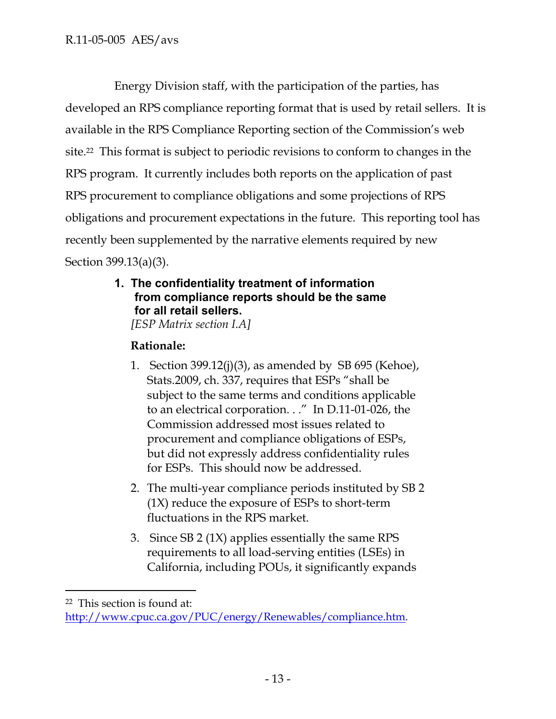Energy Division staff, with the participation of the parties, has developed an RPS compliance reporting format that is used by retail sellers. It is available in the RPS Compliance Reporting section of the Commission's web site.22 This format is subject to periodic revisions to conform to changes in the RPS program. It currently includes both reports on the application of past RPS procurement to compliance obligations and some projections of RPS obligations and procurement expectations in the future. This reporting tool has recently been supplemented by the narrative elements required by new Section 399.13(a)(3).

> **1. The confidentiality treatment of information from compliance reports should be the same for all retail sellers.**

*[ESP Matrix section I.A]* 

# **Rationale:**

- 1. Section 399.12(j)(3), as amended by SB 695 (Kehoe), Stats.2009, ch. 337, requires that ESPs "shall be subject to the same terms and conditions applicable to an electrical corporation. . ." In D.11-01-026, the Commission addressed most issues related to procurement and compliance obligations of ESPs, but did not expressly address confidentiality rules for ESPs. This should now be addressed.
- 2. The multi-year compliance periods instituted by SB 2 (1X) reduce the exposure of ESPs to short-term fluctuations in the RPS market.
- 3. Since SB 2 (1X) applies essentially the same RPS requirements to all load-serving entities (LSEs) in California, including POUs, it significantly expands

<sup>22</sup> This section is found at:

http://www.cpuc.ca.gov/PUC/energy/Renewables/compliance.htm.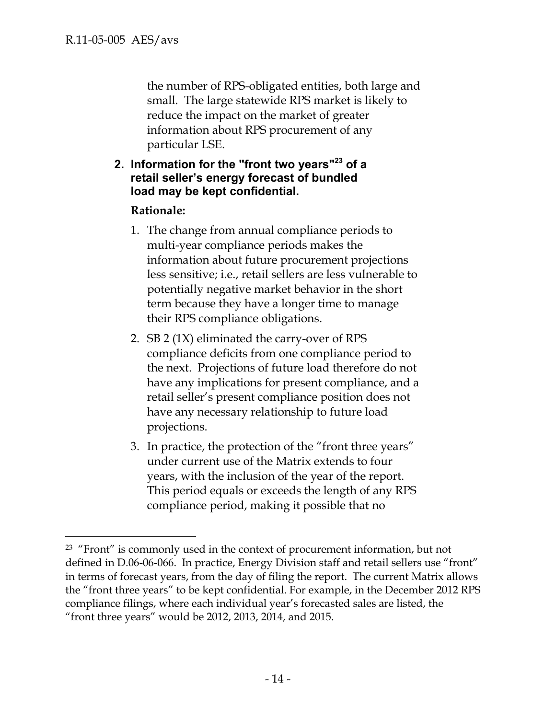$\overline{a}$ 

the number of RPS-obligated entities, both large and small. The large statewide RPS market is likely to reduce the impact on the market of greater information about RPS procurement of any particular LSE.

### **2. Information for the "front two years"23 of a retail seller's energy forecast of bundled load may be kept confidential.**

#### **Rationale:**

- 1. The change from annual compliance periods to multi-year compliance periods makes the information about future procurement projections less sensitive; i.e., retail sellers are less vulnerable to potentially negative market behavior in the short term because they have a longer time to manage their RPS compliance obligations.
- 2. SB 2 (1X) eliminated the carry-over of RPS compliance deficits from one compliance period to the next. Projections of future load therefore do not have any implications for present compliance, and a retail seller's present compliance position does not have any necessary relationship to future load projections.
- 3. In practice, the protection of the "front three years" under current use of the Matrix extends to four years, with the inclusion of the year of the report. This period equals or exceeds the length of any RPS compliance period, making it possible that no

<sup>&</sup>lt;sup>23</sup> "Front" is commonly used in the context of procurement information, but not defined in D.06-06-066. In practice, Energy Division staff and retail sellers use "front" in terms of forecast years, from the day of filing the report. The current Matrix allows the "front three years" to be kept confidential. For example, in the December 2012 RPS compliance filings, where each individual year's forecasted sales are listed, the "front three years" would be 2012, 2013, 2014, and 2015.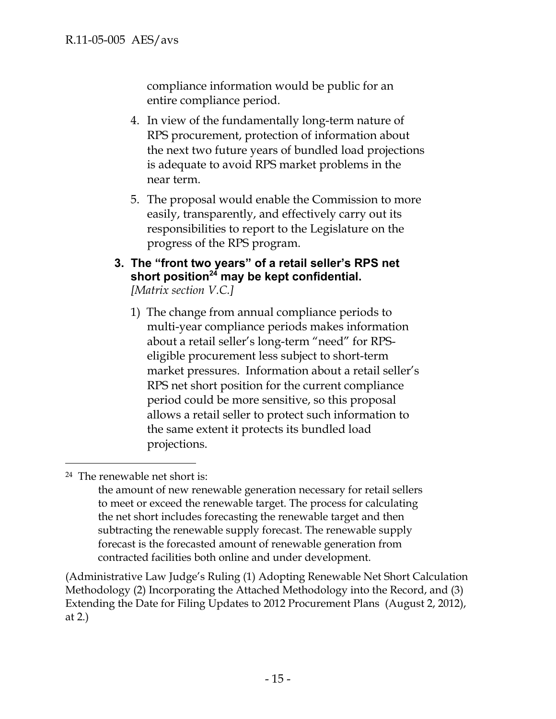compliance information would be public for an entire compliance period.

- 4. In view of the fundamentally long-term nature of RPS procurement, protection of information about the next two future years of bundled load projections is adequate to avoid RPS market problems in the near term.
- 5. The proposal would enable the Commission to more easily, transparently, and effectively carry out its responsibilities to report to the Legislature on the progress of the RPS program.

#### **3. The "front two years" of a retail seller's RPS net**  short position<sup>24</sup> may be kept confidential. *[Matrix section V.C.]*

1) The change from annual compliance periods to multi-year compliance periods makes information about a retail seller's long-term "need" for RPSeligible procurement less subject to short-term market pressures. Information about a retail seller's RPS net short position for the current compliance period could be more sensitive, so this proposal allows a retail seller to protect such information to the same extent it protects its bundled load projections.

24 The renewable net short is:

 $\overline{a}$ 

the amount of new renewable generation necessary for retail sellers to meet or exceed the renewable target. The process for calculating the net short includes forecasting the renewable target and then subtracting the renewable supply forecast. The renewable supply forecast is the forecasted amount of renewable generation from contracted facilities both online and under development.

(Administrative Law Judge's Ruling (1) Adopting Renewable Net Short Calculation Methodology (2) Incorporating the Attached Methodology into the Record, and (3) Extending the Date for Filing Updates to 2012 Procurement Plans (August 2, 2012), at 2.)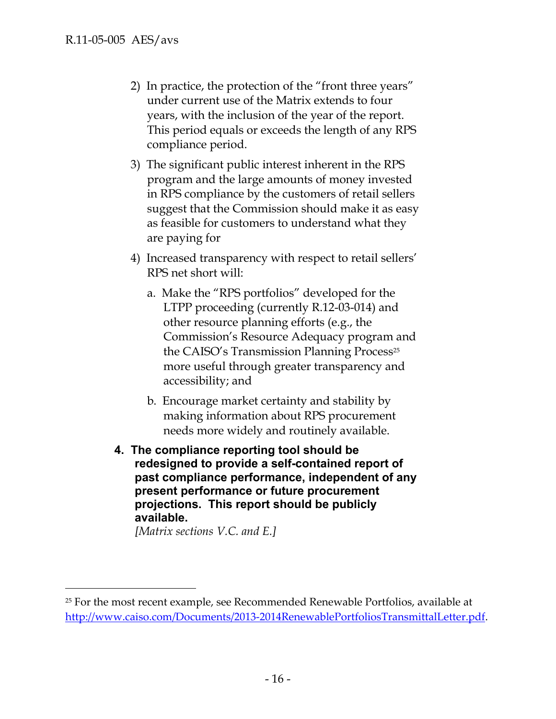- 2) In practice, the protection of the "front three years" under current use of the Matrix extends to four years, with the inclusion of the year of the report. This period equals or exceeds the length of any RPS compliance period.
- 3) The significant public interest inherent in the RPS program and the large amounts of money invested in RPS compliance by the customers of retail sellers suggest that the Commission should make it as easy as feasible for customers to understand what they are paying for
- 4) Increased transparency with respect to retail sellers' RPS net short will:
	- a. Make the "RPS portfolios" developed for the LTPP proceeding (currently R.12-03-014) and other resource planning efforts (e.g., the Commission's Resource Adequacy program and the CAISO's Transmission Planning Process<sup>25</sup> more useful through greater transparency and accessibility; and
	- b. Encourage market certainty and stability by making information about RPS procurement needs more widely and routinely available.
- **4. The compliance reporting tool should be redesigned to provide a self-contained report of past compliance performance, independent of any present performance or future procurement projections. This report should be publicly available.**

*[Matrix sections V.C. and E.]* 

-

<sup>&</sup>lt;sup>25</sup> For the most recent example, see Recommended Renewable Portfolios, available at http://www.caiso.com/Documents/2013‐2014RenewablePortfoliosTransmittalLetter.pdf.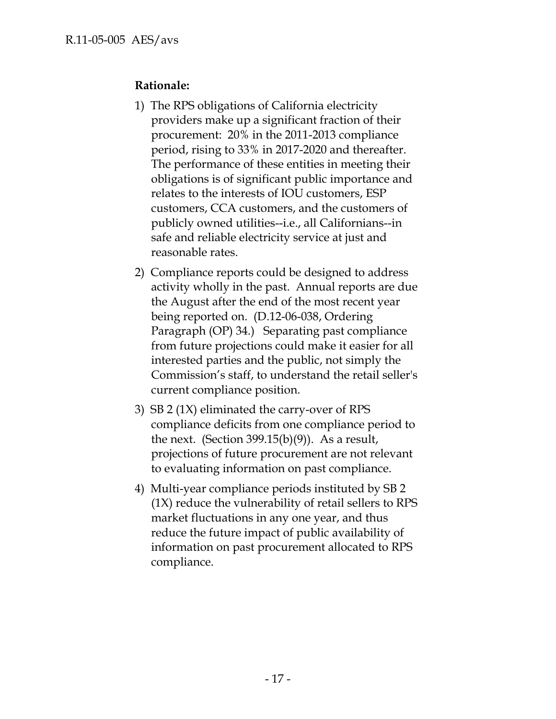## **Rationale:**

- 1) The RPS obligations of California electricity providers make up a significant fraction of their procurement: 20% in the 2011-2013 compliance period, rising to 33% in 2017-2020 and thereafter. The performance of these entities in meeting their obligations is of significant public importance and relates to the interests of IOU customers, ESP customers, CCA customers, and the customers of publicly owned utilities--i.e., all Californians--in safe and reliable electricity service at just and reasonable rates.
- 2) Compliance reports could be designed to address activity wholly in the past. Annual reports are due the August after the end of the most recent year being reported on. (D.12-06-038, Ordering Paragraph (OP) 34.) Separating past compliance from future projections could make it easier for all interested parties and the public, not simply the Commission's staff, to understand the retail seller's current compliance position.
- 3) SB 2 (1X) eliminated the carry-over of RPS compliance deficits from one compliance period to the next. (Section  $399.15(b)(9)$ ). As a result, projections of future procurement are not relevant to evaluating information on past compliance.
- 4) Multi-year compliance periods instituted by SB 2 (1X) reduce the vulnerability of retail sellers to RPS market fluctuations in any one year, and thus reduce the future impact of public availability of information on past procurement allocated to RPS compliance.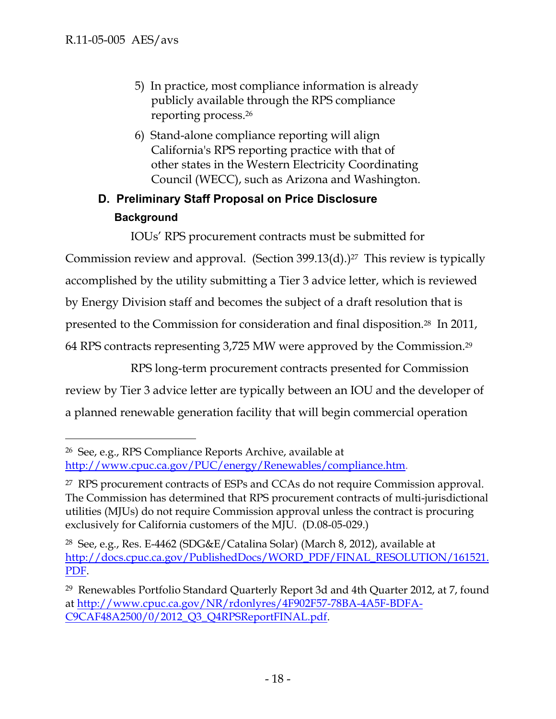- 5) In practice, most compliance information is already publicly available through the RPS compliance reporting process.26
- 6) Stand-alone compliance reporting will align California's RPS reporting practice with that of other states in the Western Electricity Coordinating Council (WECC), such as Arizona and Washington.

# **D. Preliminary Staff Proposal on Price Disclosure Background**

IOUs' RPS procurement contracts must be submitted for Commission review and approval. (Section 399.13(d).)<sup>27</sup> This review is typically accomplished by the utility submitting a Tier 3 advice letter, which is reviewed by Energy Division staff and becomes the subject of a draft resolution that is presented to the Commission for consideration and final disposition.28 In 2011, 64 RPS contracts representing 3,725 MW were approved by the Commission.29

RPS long-term procurement contracts presented for Commission review by Tier 3 advice letter are typically between an IOU and the developer of a planned renewable generation facility that will begin commercial operation

<sup>-</sup>26 See, e.g., RPS Compliance Reports Archive, available at http://www.cpuc.ca.gov/PUC/energy/Renewables/compliance.htm.

<sup>27</sup> RPS procurement contracts of ESPs and CCAs do not require Commission approval. The Commission has determined that RPS procurement contracts of multi-jurisdictional utilities (MJUs) do not require Commission approval unless the contract is procuring exclusively for California customers of the MJU. (D.08-05-029.)

<sup>28</sup> See, e.g., Res. E-4462 (SDG&E/Catalina Solar) (March 8, 2012), available at http://docs.cpuc.ca.gov/PublishedDocs/WORD\_PDF/FINAL\_RESOLUTION/161521. PDF.

<sup>29</sup> Renewables Portfolio Standard Quarterly Report 3d and 4th Quarter 2012, at 7, found at http://www.cpuc.ca.gov/NR/rdonlyres/4F902F57-78BA-4A5F-BDFA-C9CAF48A2500/0/2012\_Q3\_Q4RPSReportFINAL.pdf.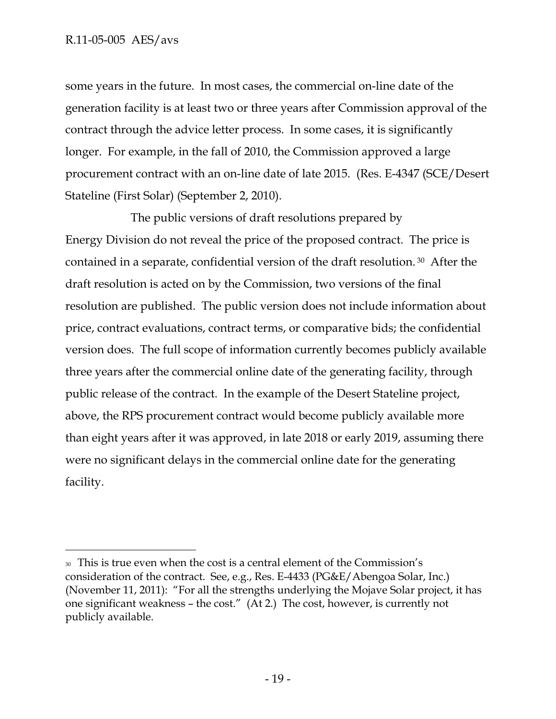### R.11-05-005 AES/avs

-

some years in the future. In most cases, the commercial on-line date of the generation facility is at least two or three years after Commission approval of the contract through the advice letter process. In some cases, it is significantly longer. For example, in the fall of 2010, the Commission approved a large procurement contract with an on-line date of late 2015. (Res. E-4347 (SCE/Desert Stateline (First Solar) (September 2, 2010).

The public versions of draft resolutions prepared by Energy Division do not reveal the price of the proposed contract. The price is contained in a separate, confidential version of the draft resolution. 30 After the draft resolution is acted on by the Commission, two versions of the final resolution are published. The public version does not include information about price, contract evaluations, contract terms, or comparative bids; the confidential version does. The full scope of information currently becomes publicly available three years after the commercial online date of the generating facility, through public release of the contract. In the example of the Desert Stateline project, above, the RPS procurement contract would become publicly available more than eight years after it was approved, in late 2018 or early 2019, assuming there were no significant delays in the commercial online date for the generating facility.

<sup>30</sup> This is true even when the cost is a central element of the Commission's consideration of the contract. See, e.g., Res. E-4433 (PG&E/Abengoa Solar, Inc.) (November 11, 2011): "For all the strengths underlying the Mojave Solar project, it has one significant weakness – the cost." (At 2.) The cost, however, is currently not publicly available.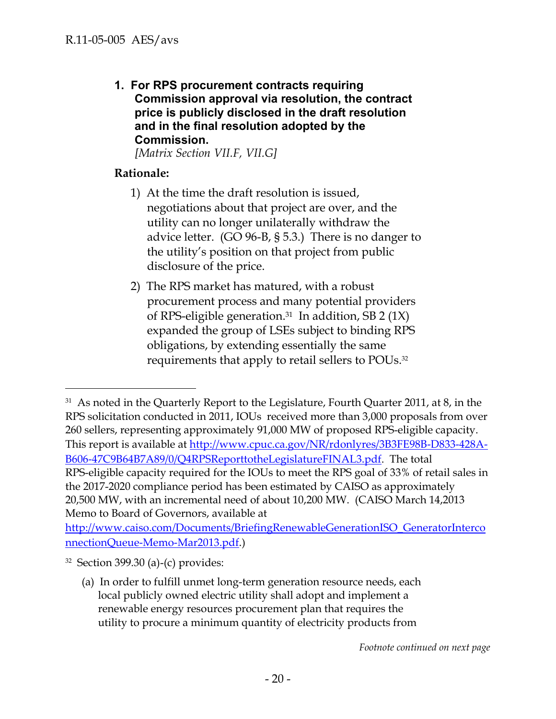**1. For RPS procurement contracts requiring Commission approval via resolution, the contract price is publicly disclosed in the draft resolution and in the final resolution adopted by the Commission.** 

*[Matrix Section VII.F, VII.G]* 

## **Rationale:**

- 1) At the time the draft resolution is issued, negotiations about that project are over, and the utility can no longer unilaterally withdraw the advice letter. (GO 96-B, § 5.3.) There is no danger to the utility's position on that project from public disclosure of the price.
- 2) The RPS market has matured, with a robust procurement process and many potential providers of RPS-eligible generation.<sup>31</sup> In addition, SB 2 (1X) expanded the group of LSEs subject to binding RPS obligations, by extending essentially the same requirements that apply to retail sellers to POUs.<sup>32</sup>

-

 $31$  As noted in the Quarterly Report to the Legislature, Fourth Quarter 2011, at 8, in the RPS solicitation conducted in 2011, IOUs received more than 3,000 proposals from over 260 sellers, representing approximately 91,000 MW of proposed RPS-eligible capacity. This report is available at http://www.cpuc.ca.gov/NR/rdonlyres/3B3FE98B-D833-428A-B606-47C9B64B7A89/0/Q4RPSReporttotheLegislatureFINAL3.pdf. The total RPS-eligible capacity required for the IOUs to meet the RPS goal of 33% of retail sales in the 2017-2020 compliance period has been estimated by CAISO as approximately 20,500 MW, with an incremental need of about 10,200 MW. (CAISO March 14,2013 Memo to Board of Governors, available at

http://www.caiso.com/Documents/BriefingRenewableGenerationISO\_GeneratorInterco nnectionQueue‐Memo‐Mar2013.pdf.)

 $32$  Section 399.30 (a)-(c) provides:

<sup>(</sup>a) In order to fulfill unmet long-term generation resource needs, each local publicly owned electric utility shall adopt and implement a renewable energy resources procurement plan that requires the utility to procure a minimum quantity of electricity products from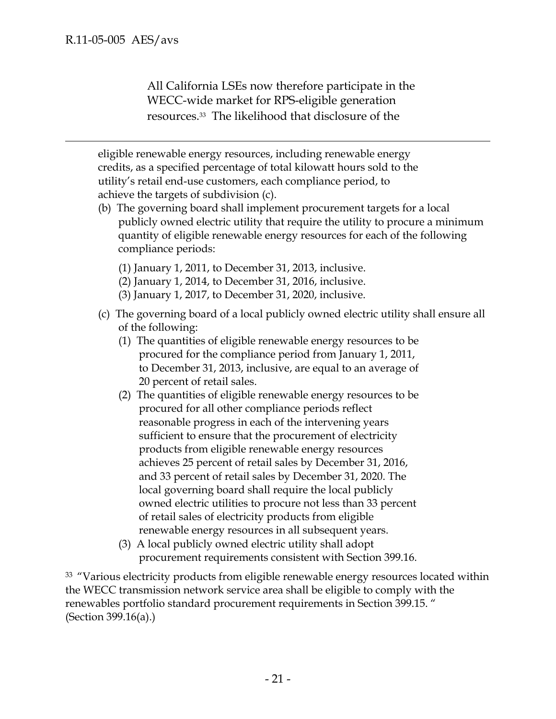$\overline{a}$ 

All California LSEs now therefore participate in the WECC-wide market for RPS-eligible generation resources. <sup>33</sup> The likelihood that disclosure of the

eligible renewable energy resources, including renewable energy credits, as a specified percentage of total kilowatt hours sold to the utility's retail end-use customers, each compliance period, to achieve the targets of subdivision (c).

- (b) The governing board shall implement procurement targets for a local publicly owned electric utility that require the utility to procure a minimum quantity of eligible renewable energy resources for each of the following compliance periods:
	- (1) January 1, 2011, to December 31, 2013, inclusive.
	- (2) January 1, 2014, to December 31, 2016, inclusive.
	- (3) January 1, 2017, to December 31, 2020, inclusive.
- (c) The governing board of a local publicly owned electric utility shall ensure all of the following:
	- (1) The quantities of eligible renewable energy resources to be procured for the compliance period from January 1, 2011, to December 31, 2013, inclusive, are equal to an average of 20 percent of retail sales.
	- (2) The quantities of eligible renewable energy resources to be procured for all other compliance periods reflect reasonable progress in each of the intervening years sufficient to ensure that the procurement of electricity products from eligible renewable energy resources achieves 25 percent of retail sales by December 31, 2016, and 33 percent of retail sales by December 31, 2020. The local governing board shall require the local publicly owned electric utilities to procure not less than 33 percent of retail sales of electricity products from eligible renewable energy resources in all subsequent years.
	- (3) A local publicly owned electric utility shall adopt procurement requirements consistent with Section 399.16.

<sup>33</sup> "Various electricity products from eligible renewable energy resources located within the WECC transmission network service area shall be eligible to comply with the renewables portfolio standard procurement requirements in Section 399.15. " (Section 399.16(a).)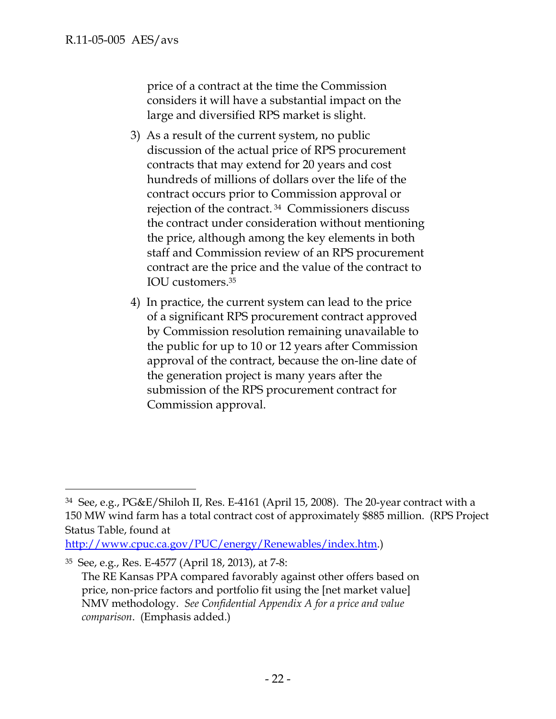price of a contract at the time the Commission considers it will have a substantial impact on the large and diversified RPS market is slight.

- 3) As a result of the current system, no public discussion of the actual price of RPS procurement contracts that may extend for 20 years and cost hundreds of millions of dollars over the life of the contract occurs prior to Commission approval or rejection of the contract. 34 Commissioners discuss the contract under consideration without mentioning the price, although among the key elements in both staff and Commission review of an RPS procurement contract are the price and the value of the contract to IOU customers.35
- 4) In practice, the current system can lead to the price of a significant RPS procurement contract approved by Commission resolution remaining unavailable to the public for up to 10 or 12 years after Commission approval of the contract, because the on-line date of the generation project is many years after the submission of the RPS procurement contract for Commission approval.

<sup>34</sup> See, e.g., PG&E/Shiloh II, Res. E-4161 (April 15, 2008). The 20-year contract with a 150 MW wind farm has a total contract cost of approximately \$885 million. (RPS Project Status Table, found at

http://www.cpuc.ca.gov/PUC/energy/Renewables/index.htm.)

<sup>35</sup> See, e.g., Res. E-4577 (April 18, 2013), at 7-8:

The RE Kansas PPA compared favorably against other offers based on price, non-price factors and portfolio fit using the [net market value] NMV methodology. *See Confidential Appendix A for a price and value comparison*. (Emphasis added.)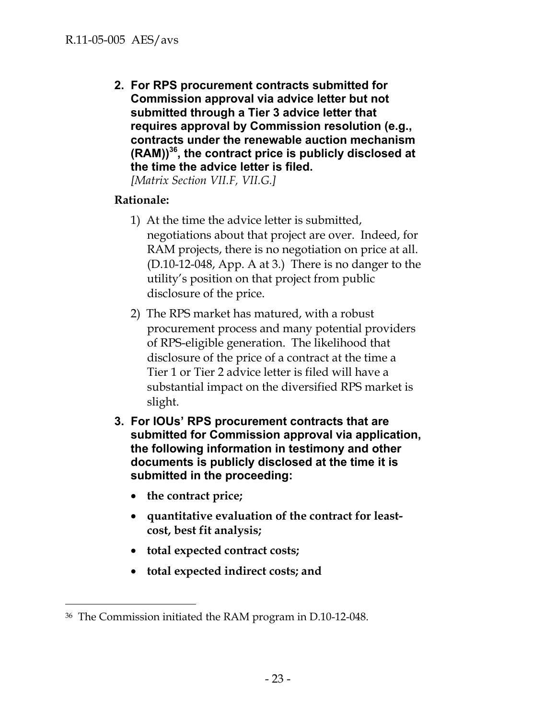**2. For RPS procurement contracts submitted for Commission approval via advice letter but not submitted through a Tier 3 advice letter that requires approval by Commission resolution (e.g., contracts under the renewable auction mechanism (RAM))36, the contract price is publicly disclosed at the time the advice letter is filed.** 

*[Matrix Section VII.F, VII.G.]* 

# **Rationale:**

- 1) At the time the advice letter is submitted, negotiations about that project are over. Indeed, for RAM projects, there is no negotiation on price at all. (D.10-12-048, App. A at 3.) There is no danger to the utility's position on that project from public disclosure of the price.
- 2) The RPS market has matured, with a robust procurement process and many potential providers of RPS-eligible generation. The likelihood that disclosure of the price of a contract at the time a Tier 1 or Tier 2 advice letter is filed will have a substantial impact on the diversified RPS market is slight.
- **3. For IOUs' RPS procurement contracts that are submitted for Commission approval via application, the following information in testimony and other documents is publicly disclosed at the time it is submitted in the proceeding:** 
	- **the contract price;**

- **quantitative evaluation of the contract for leastcost, best fit analysis;**
- **total expected contract costs;**
- **total expected indirect costs; and**

<sup>36</sup> The Commission initiated the RAM program in D.10-12-048.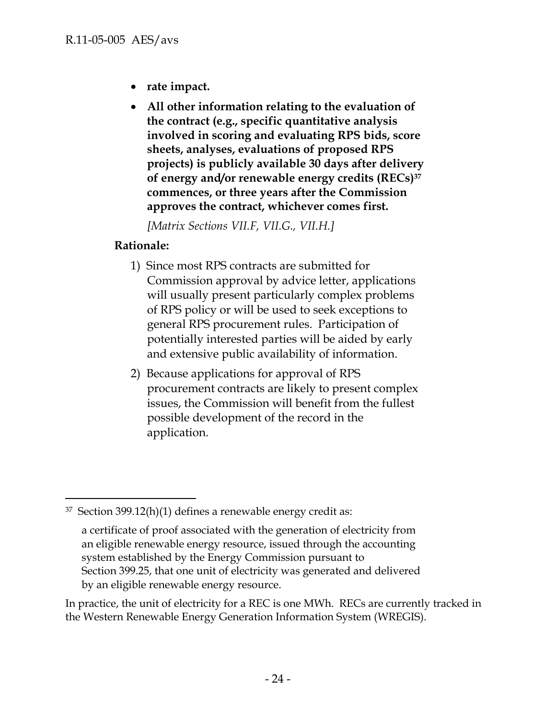- **rate impact.**
- **All other information relating to the evaluation of the contract (e.g., specific quantitative analysis involved in scoring and evaluating RPS bids, score sheets, analyses, evaluations of proposed RPS projects) is publicly available 30 days after delivery of energy and/or renewable energy credits (RECs)37 commences, or three years after the Commission approves the contract, whichever comes first.**

*[Matrix Sections VII.F, VII.G., VII.H.]* 

## **Rationale:**

 $\overline{a}$ 

- 1) Since most RPS contracts are submitted for Commission approval by advice letter, applications will usually present particularly complex problems of RPS policy or will be used to seek exceptions to general RPS procurement rules. Participation of potentially interested parties will be aided by early and extensive public availability of information.
- 2) Because applications for approval of RPS procurement contracts are likely to present complex issues, the Commission will benefit from the fullest possible development of the record in the application.

In practice, the unit of electricity for a REC is one MWh. RECs are currently tracked in the Western Renewable Energy Generation Information System (WREGIS).

 $37$  Section 399.12(h)(1) defines a renewable energy credit as:

a certificate of proof associated with the generation of electricity from an eligible renewable energy resource, issued through the accounting system established by the Energy Commission pursuant to Section 399.25, that one unit of electricity was generated and delivered by an eligible renewable energy resource.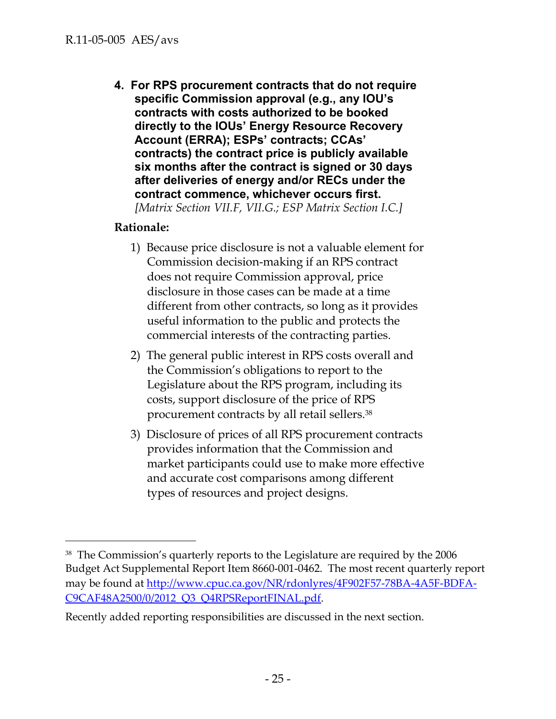**4. For RPS procurement contracts that do not require specific Commission approval (e.g., any IOU's contracts with costs authorized to be booked directly to the IOUs' Energy Resource Recovery Account (ERRA); ESPs' contracts; CCAs' contracts) the contract price is publicly available six months after the contract is signed or 30 days after deliveries of energy and/or RECs under the contract commence, whichever occurs first.**  *[Matrix Section VII.F, VII.G.; ESP Matrix Section I.C.]* 

## **Rationale:**

- 1) Because price disclosure is not a valuable element for Commission decision-making if an RPS contract does not require Commission approval, price disclosure in those cases can be made at a time different from other contracts, so long as it provides useful information to the public and protects the commercial interests of the contracting parties.
- 2) The general public interest in RPS costs overall and the Commission's obligations to report to the Legislature about the RPS program, including its costs, support disclosure of the price of RPS procurement contracts by all retail sellers.38
- 3) Disclosure of prices of all RPS procurement contracts provides information that the Commission and market participants could use to make more effective and accurate cost comparisons among different types of resources and project designs.

<sup>38</sup> The Commission's quarterly reports to the Legislature are required by the 2006 Budget Act Supplemental Report Item 8660-001-0462. The most recent quarterly report may be found at http://www.cpuc.ca.gov/NR/rdonlyres/4F902F57-78BA-4A5F-BDFA-C9CAF48A2500/0/2012 Q3 Q4RPSReportFINAL.pdf.

Recently added reporting responsibilities are discussed in the next section.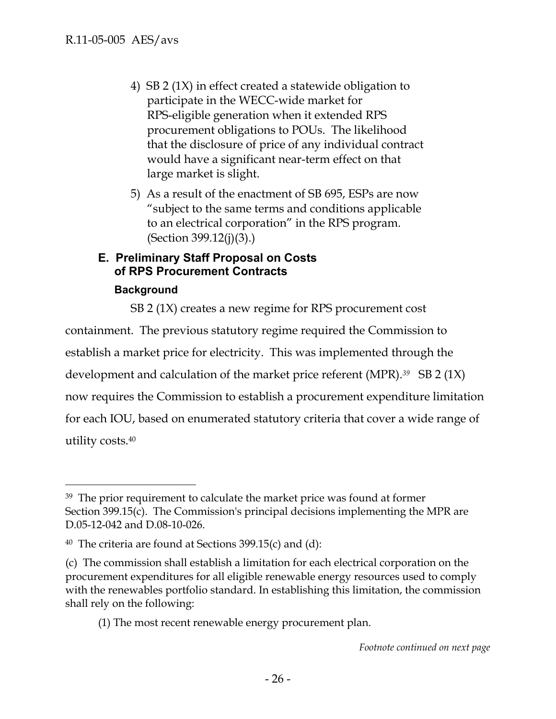- 4) SB 2 (1X) in effect created a statewide obligation to participate in the WECC-wide market for RPS-eligible generation when it extended RPS procurement obligations to POUs. The likelihood that the disclosure of price of any individual contract would have a significant near-term effect on that large market is slight.
- 5) As a result of the enactment of SB 695, ESPs are now "subject to the same terms and conditions applicable to an electrical corporation" in the RPS program. (Section 399.12(j)(3).)

### **E. Preliminary Staff Proposal on Costs of RPS Procurement Contracts**

### **Background**

 $\overline{a}$ 

SB 2 (1X) creates a new regime for RPS procurement cost containment. The previous statutory regime required the Commission to establish a market price for electricity. This was implemented through the development and calculation of the market price referent (MPR).*39* SB 2 (1X) now requires the Commission to establish a procurement expenditure limitation for each IOU, based on enumerated statutory criteria that cover a wide range of utility costs.40

(1) The most recent renewable energy procurement plan.

<sup>39</sup> The prior requirement to calculate the market price was found at former Section 399.15(c). The Commission's principal decisions implementing the MPR are D.05-12-042 and D.08-10-026.

<sup>&</sup>lt;sup>40</sup> The criteria are found at Sections 399.15(c) and (d):

<sup>(</sup>c) The commission shall establish a limitation for each electrical corporation on the procurement expenditures for all eligible renewable energy resources used to comply with the renewables portfolio standard. In establishing this limitation, the commission shall rely on the following: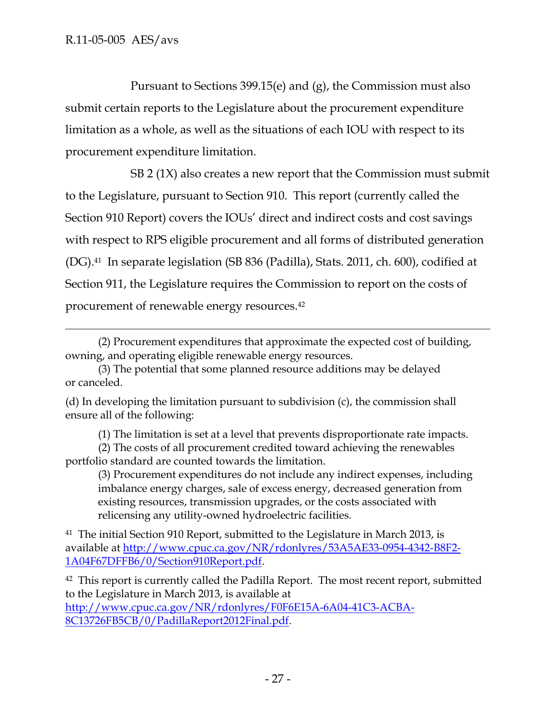$\overline{a}$ 

Pursuant to Sections 399.15(e) and (g), the Commission must also submit certain reports to the Legislature about the procurement expenditure limitation as a whole, as well as the situations of each IOU with respect to its procurement expenditure limitation.

SB 2 (1X) also creates a new report that the Commission must submit to the Legislature, pursuant to Section 910. This report (currently called the Section 910 Report) covers the IOUs' direct and indirect costs and cost savings with respect to RPS eligible procurement and all forms of distributed generation (DG).41 In separate legislation (SB 836 (Padilla), Stats. 2011, ch. 600), codified at Section 911, the Legislature requires the Commission to report on the costs of procurement of renewable energy resources.42

(d) In developing the limitation pursuant to subdivision (c), the commission shall ensure all of the following:

(1) The limitation is set at a level that prevents disproportionate rate impacts.

(3) Procurement expenditures do not include any indirect expenses, including imbalance energy charges, sale of excess energy, decreased generation from existing resources, transmission upgrades, or the costs associated with relicensing any utility-owned hydroelectric facilities.

41 The initial Section 910 Report, submitted to the Legislature in March 2013, is available at http://www.cpuc.ca.gov/NR/rdonlyres/53A5AE33-0954-4342-B8F2- 1A04F67DFFB6/0/Section910Report.pdf.

<sup>42</sup> This report is currently called the Padilla Report. The most recent report, submitted to the Legislature in March 2013, is available at http://www.cpuc.ca.gov/NR/rdonlyres/F0F6E15A-6A04-41C3-ACBA-8C13726FB5CB/0/PadillaReport2012Final.pdf.

<sup>(2)</sup> Procurement expenditures that approximate the expected cost of building, owning, and operating eligible renewable energy resources.

<sup>(3)</sup> The potential that some planned resource additions may be delayed or canceled.

<sup>(2)</sup> The costs of all procurement credited toward achieving the renewables portfolio standard are counted towards the limitation.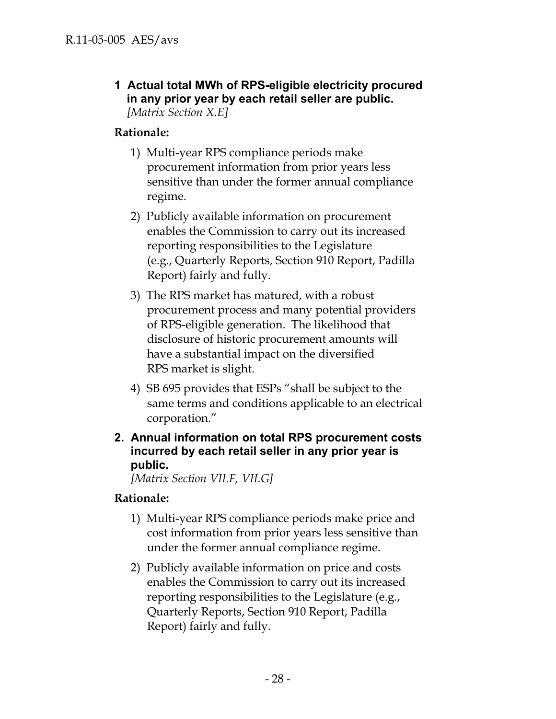**1 Actual total MWh of RPS-eligible electricity procured in any prior year by each retail seller are public.**  *[Matrix Section X.E]* 

## **Rationale:**

- 1) Multi-year RPS compliance periods make procurement information from prior years less sensitive than under the former annual compliance regime.
- 2) Publicly available information on procurement enables the Commission to carry out its increased reporting responsibilities to the Legislature (e.g., Quarterly Reports, Section 910 Report, Padilla Report) fairly and fully.
- 3) The RPS market has matured, with a robust procurement process and many potential providers of RPS-eligible generation. The likelihood that disclosure of historic procurement amounts will have a substantial impact on the diversified RPS market is slight.
- 4) SB 695 provides that ESPs "shall be subject to the same terms and conditions applicable to an electrical corporation."
- **2. Annual information on total RPS procurement costs incurred by each retail seller in any prior year is public.**

*[Matrix Section VII.F, VII.G]* 

## **Rationale:**

- 1) Multi-year RPS compliance periods make price and cost information from prior years less sensitive than under the former annual compliance regime.
- 2) Publicly available information on price and costs enables the Commission to carry out its increased reporting responsibilities to the Legislature (e.g., Quarterly Reports, Section 910 Report, Padilla Report) fairly and fully.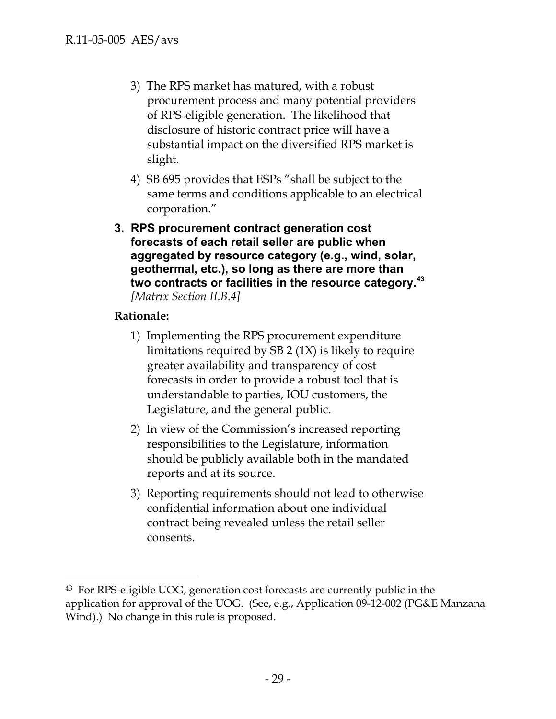- 3) The RPS market has matured, with a robust procurement process and many potential providers of RPS-eligible generation. The likelihood that disclosure of historic contract price will have a substantial impact on the diversified RPS market is slight.
- 4) SB 695 provides that ESPs "shall be subject to the same terms and conditions applicable to an electrical corporation."
- **3. RPS procurement contract generation cost forecasts of each retail seller are public when aggregated by resource category (e.g., wind, solar, geothermal, etc.), so long as there are more than two contracts or facilities in the resource category.<sup>43</sup>** *[Matrix Section II.B.4]*

# **Rationale:**

- 1) Implementing the RPS procurement expenditure limitations required by SB 2 (1X) is likely to require greater availability and transparency of cost forecasts in order to provide a robust tool that is understandable to parties, IOU customers, the Legislature, and the general public.
- 2) In view of the Commission's increased reporting responsibilities to the Legislature, information should be publicly available both in the mandated reports and at its source.
- 3) Reporting requirements should not lead to otherwise confidential information about one individual contract being revealed unless the retail seller consents.

<sup>43</sup> For RPS-eligible UOG, generation cost forecasts are currently public in the application for approval of the UOG. (See, e.g., Application 09-12-002 (PG&E Manzana Wind).) No change in this rule is proposed.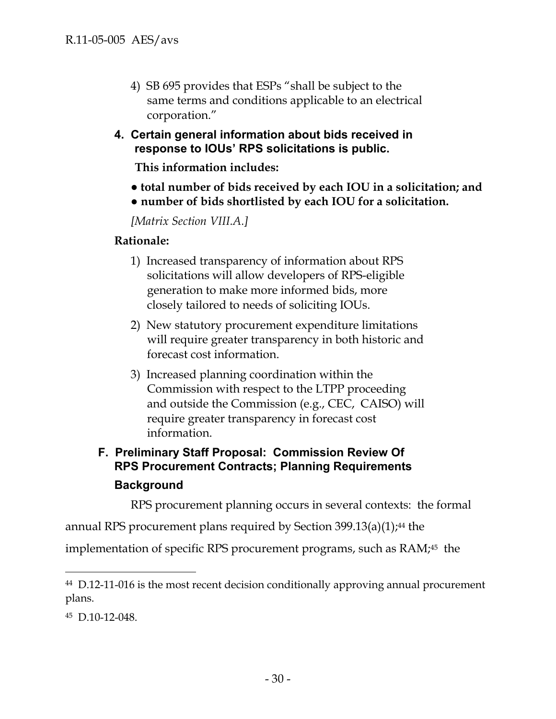- 4) SB 695 provides that ESPs "shall be subject to the same terms and conditions applicable to an electrical corporation."
- **4. Certain general information about bids received in response to IOUs' RPS solicitations is public.**

**This information includes:** 

- **● total number of bids received by each IOU in a solicitation; and**
- **● number of bids shortlisted by each IOU for a solicitation.**

*[Matrix Section VIII.A.]* 

### **Rationale:**

- 1) Increased transparency of information about RPS solicitations will allow developers of RPS-eligible generation to make more informed bids, more closely tailored to needs of soliciting IOUs.
- 2) New statutory procurement expenditure limitations will require greater transparency in both historic and forecast cost information.
- 3) Increased planning coordination within the Commission with respect to the LTPP proceeding and outside the Commission (e.g., CEC, CAISO) will require greater transparency in forecast cost information.

# **F. Preliminary Staff Proposal: Commission Review Of RPS Procurement Contracts; Planning Requirements Background**

RPS procurement planning occurs in several contexts: the formal

annual RPS procurement plans required by Section  $399.13(a)(1)$ ;<sup>44</sup> the

implementation of specific RPS procurement programs, such as RAM;<sup>45</sup> the

<sup>44</sup> D.12-11-016 is the most recent decision conditionally approving annual procurement plans.

<sup>45</sup> D.10-12-048.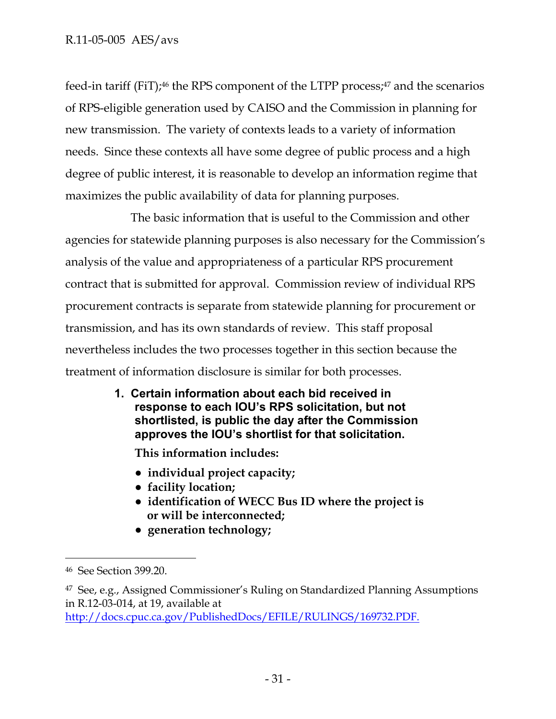feed-in tariff (FiT);<sup>46</sup> the RPS component of the LTPP process;<sup>47</sup> and the scenarios of RPS-eligible generation used by CAISO and the Commission in planning for new transmission. The variety of contexts leads to a variety of information needs. Since these contexts all have some degree of public process and a high degree of public interest, it is reasonable to develop an information regime that maximizes the public availability of data for planning purposes.

The basic information that is useful to the Commission and other agencies for statewide planning purposes is also necessary for the Commission's analysis of the value and appropriateness of a particular RPS procurement contract that is submitted for approval. Commission review of individual RPS procurement contracts is separate from statewide planning for procurement or transmission, and has its own standards of review. This staff proposal nevertheless includes the two processes together in this section because the treatment of information disclosure is similar for both processes.

> **1. Certain information about each bid received in response to each IOU's RPS solicitation, but not shortlisted, is public the day after the Commission approves the IOU's shortlist for that solicitation.**

**This information includes:** 

- **● individual project capacity;**
- **● facility location;**
- **● identification of WECC Bus ID where the project is or will be interconnected;**
- **● generation technology;**

-

http://docs.cpuc.ca.gov/PublishedDocs/EFILE/RULINGS/169732.PDF.

<sup>46</sup> See Section 399.20.

<sup>47</sup> See, e.g., Assigned Commissioner's Ruling on Standardized Planning Assumptions in R.12-03-014, at 19, available at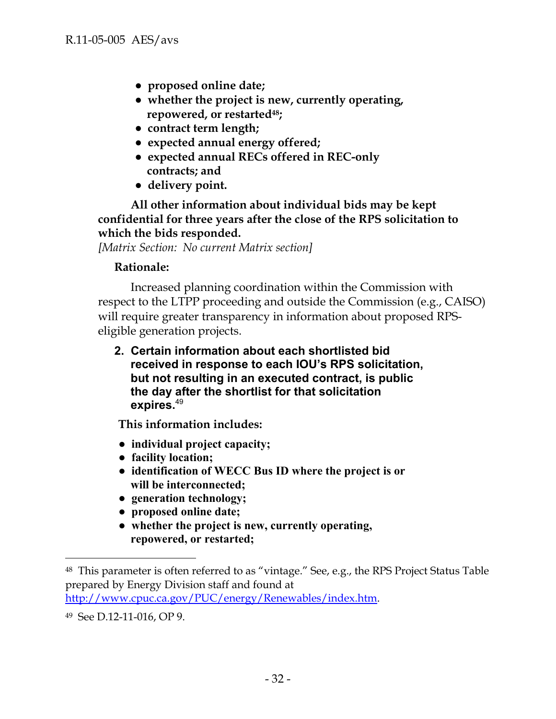- **● proposed online date;**
- **● whether the project is new, currently operating, repowered, or restarted48;**
- **● contract term length;**
- **● expected annual energy offered;**
- **● expected annual RECs offered in REC-only contracts; and**
- **● delivery point.**

**All other information about individual bids may be kept confidential for three years after the close of the RPS solicitation to which the bids responded.** 

*[Matrix Section: No current Matrix section]*

#### **Rationale:**

Increased planning coordination within the Commission with respect to the LTPP proceeding and outside the Commission (e.g., CAISO) will require greater transparency in information about proposed RPSeligible generation projects.

**2. Certain information about each shortlisted bid received in response to each IOU's RPS solicitation, but not resulting in an executed contract, is public the day after the shortlist for that solicitation expires.**<sup>49</sup>

**This information includes:** 

- **● individual project capacity;**
- **● facility location;**
- **● identification of WECC Bus ID where the project is or will be interconnected;**
- **● generation technology;**
- **● proposed online date;**
- **● whether the project is new, currently operating, repowered, or restarted;**

-

<sup>48</sup> This parameter is often referred to as "vintage." See, e.g., the RPS Project Status Table prepared by Energy Division staff and found at http://www.cpuc.ca.gov/PUC/energy/Renewables/index.htm.

<sup>49</sup> See D.12-11-016, OP 9.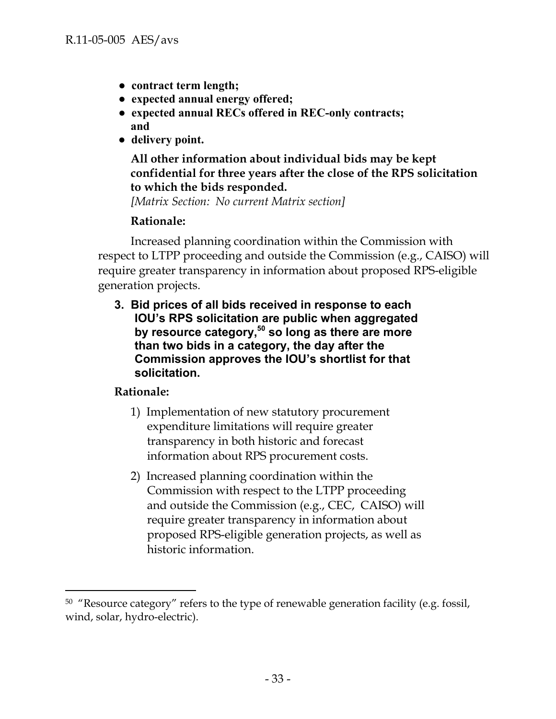- **● contract term length;**
- **● expected annual energy offered;**
- **● expected annual RECs offered in REC-only contracts; and**
- **● delivery point.**

## **All other information about individual bids may be kept confidential for three years after the close of the RPS solicitation to which the bids responded.**

*[Matrix Section: No current Matrix section]*

## **Rationale:**

Increased planning coordination within the Commission with respect to LTPP proceeding and outside the Commission (e.g., CAISO) will require greater transparency in information about proposed RPS-eligible generation projects.

**3. Bid prices of all bids received in response to each IOU's RPS solicitation are public when aggregated by resource category,50 so long as there are more than two bids in a category, the day after the Commission approves the IOU's shortlist for that solicitation.** 

## **Rationale:**

- 1) Implementation of new statutory procurement expenditure limitations will require greater transparency in both historic and forecast information about RPS procurement costs.
- 2) Increased planning coordination within the Commission with respect to the LTPP proceeding and outside the Commission (e.g., CEC, CAISO) will require greater transparency in information about proposed RPS-eligible generation projects, as well as historic information.

<sup>&</sup>lt;sup>50</sup> "Resource category" refers to the type of renewable generation facility (e.g. fossil, wind, solar, hydro-electric).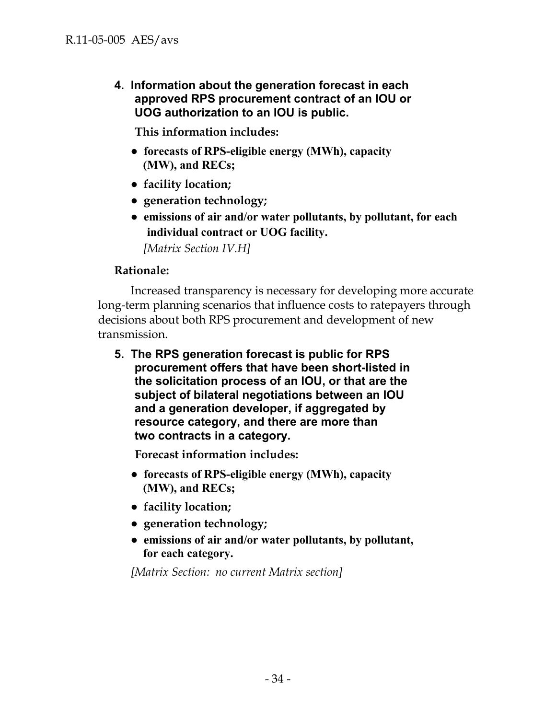**4. Information about the generation forecast in each approved RPS procurement contract of an IOU or UOG authorization to an IOU is public.** 

**This information includes:** 

- **● forecasts of RPS-eligible energy (MWh), capacity (MW), and RECs;**
- **● facility location;**
- **● generation technology;**
- **● emissions of air and/or water pollutants, by pollutant, for each individual contract or UOG facility.**

*[Matrix Section IV.H]* 

#### **Rationale:**

Increased transparency is necessary for developing more accurate long-term planning scenarios that influence costs to ratepayers through decisions about both RPS procurement and development of new transmission.

**5. The RPS generation forecast is public for RPS procurement offers that have been short-listed in the solicitation process of an IOU, or that are the subject of bilateral negotiations between an IOU and a generation developer, if aggregated by resource category, and there are more than two contracts in a category.** 

**Forecast information includes:** 

- **● forecasts of RPS-eligible energy (MWh), capacity (MW), and RECs;**
- **● facility location;**
- **● generation technology;**
- **● emissions of air and/or water pollutants, by pollutant, for each category.**

*[Matrix Section: no current Matrix section]*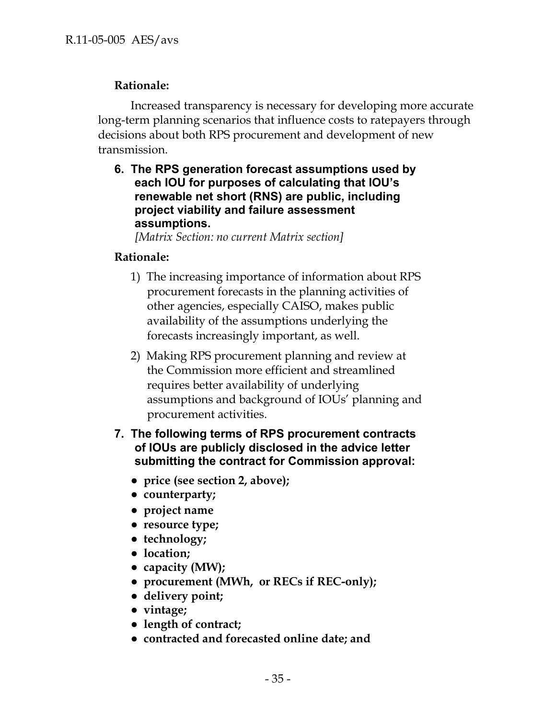## **Rationale:**

Increased transparency is necessary for developing more accurate long-term planning scenarios that influence costs to ratepayers through decisions about both RPS procurement and development of new transmission.

**6. The RPS generation forecast assumptions used by each IOU for purposes of calculating that IOU's renewable net short (RNS) are public, including project viability and failure assessment assumptions.** 

*[Matrix Section: no current Matrix section]* 

# **Rationale:**

- 1) The increasing importance of information about RPS procurement forecasts in the planning activities of other agencies, especially CAISO, makes public availability of the assumptions underlying the forecasts increasingly important, as well.
- 2) Making RPS procurement planning and review at the Commission more efficient and streamlined requires better availability of underlying assumptions and background of IOUs' planning and procurement activities.
- **7. The following terms of RPS procurement contracts of IOUs are publicly disclosed in the advice letter submitting the contract for Commission approval:** 
	- **● price (see section 2, above);**
	- **● counterparty;**
	- **● project name**
	- **● resource type;**
	- **● technology;**
	- **● location;**
	- **● capacity (MW);**
	- **● procurement (MWh, or RECs if REC-only);**
	- **● delivery point;**
	- **● vintage;**
	- **● length of contract;**
	- **● contracted and forecasted online date; and**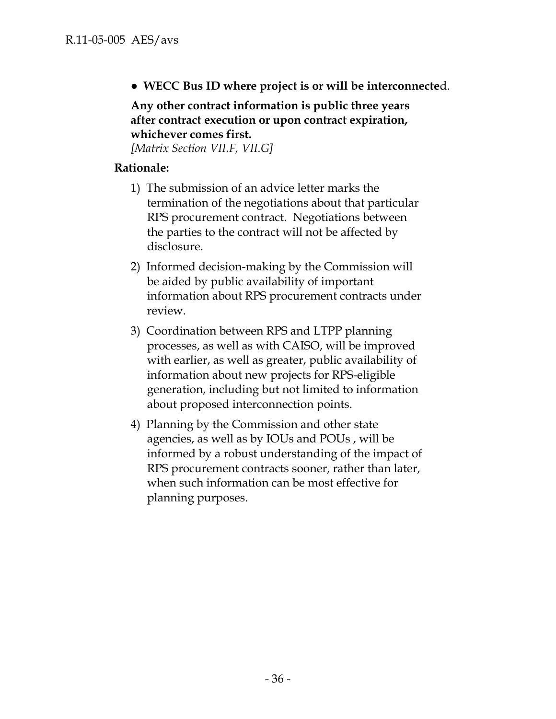**● WECC Bus ID where project is or will be interconnecte**d.

**Any other contract information is public three years after contract execution or upon contract expiration, whichever comes first.**

*[Matrix Section VII.F, VII.G]*

## **Rationale:**

- 1) The submission of an advice letter marks the termination of the negotiations about that particular RPS procurement contract. Negotiations between the parties to the contract will not be affected by disclosure.
- 2) Informed decision-making by the Commission will be aided by public availability of important information about RPS procurement contracts under review.
- 3) Coordination between RPS and LTPP planning processes, as well as with CAISO, will be improved with earlier, as well as greater, public availability of information about new projects for RPS-eligible generation, including but not limited to information about proposed interconnection points.
- 4) Planning by the Commission and other state agencies, as well as by IOUs and POUs , will be informed by a robust understanding of the impact of RPS procurement contracts sooner, rather than later, when such information can be most effective for planning purposes.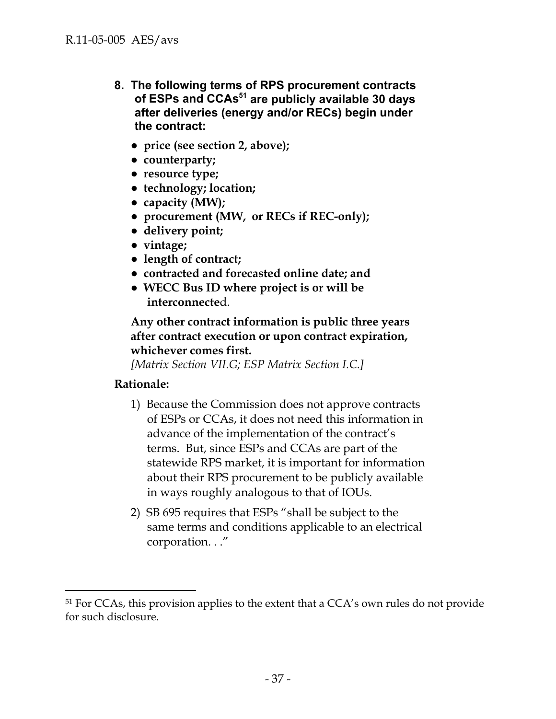- **8. The following terms of RPS procurement contracts**  of ESPs and CCAs<sup>51</sup> are publicly available 30 days **after deliveries (energy and/or RECs) begin under the contract:** 
	- **● price (see section 2, above);**
	- **● counterparty;**
	- **● resource type;**
	- **● technology; location;**
	- **● capacity (MW);**
	- **● procurement (MW, or RECs if REC-only);**
	- **● delivery point;**
	- **● vintage;**
	- **● length of contract;**
	- **● contracted and forecasted online date; and**
	- **● WECC Bus ID where project is or will be interconnecte**d.

**Any other contract information is public three years after contract execution or upon contract expiration, whichever comes first.**

*[Matrix Section VII.G; ESP Matrix Section I.C.]*

## **Rationale:**

- 1) Because the Commission does not approve contracts of ESPs or CCAs, it does not need this information in advance of the implementation of the contract's terms. But, since ESPs and CCAs are part of the statewide RPS market, it is important for information about their RPS procurement to be publicly available in ways roughly analogous to that of IOUs.
- 2) SB 695 requires that ESPs "shall be subject to the same terms and conditions applicable to an electrical corporation. . ."

<sup>&</sup>lt;sup>51</sup> For CCAs, this provision applies to the extent that a CCA's own rules do not provide for such disclosure.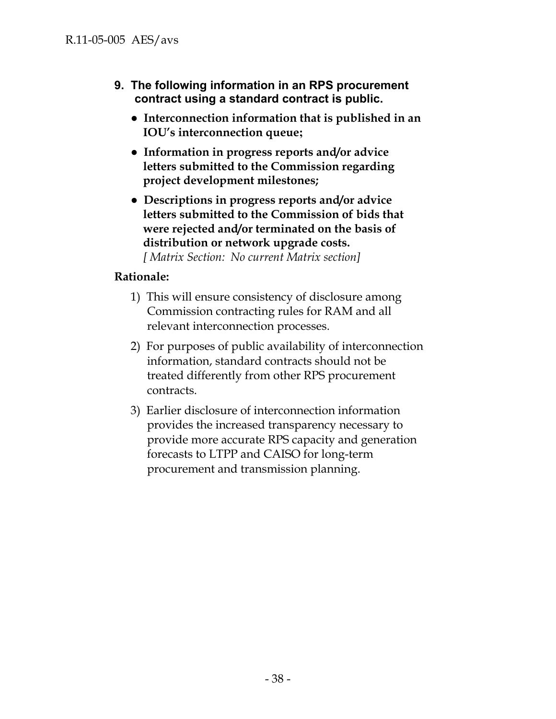- **9. The following information in an RPS procurement contract using a standard contract is public.** 
	- **● Interconnection information that is published in an IOU's interconnection queue;**
	- **● Information in progress reports and/or advice letters submitted to the Commission regarding project development milestones;**
	- **● Descriptions in progress reports and/or advice letters submitted to the Commission of bids that were rejected and/or terminated on the basis of distribution or network upgrade costs.**  *[ Matrix Section: No current Matrix section]*

# **Rationale:**

- 1) This will ensure consistency of disclosure among Commission contracting rules for RAM and all relevant interconnection processes.
- 2) For purposes of public availability of interconnection information, standard contracts should not be treated differently from other RPS procurement contracts.
- 3) Earlier disclosure of interconnection information provides the increased transparency necessary to provide more accurate RPS capacity and generation forecasts to LTPP and CAISO for long-term procurement and transmission planning.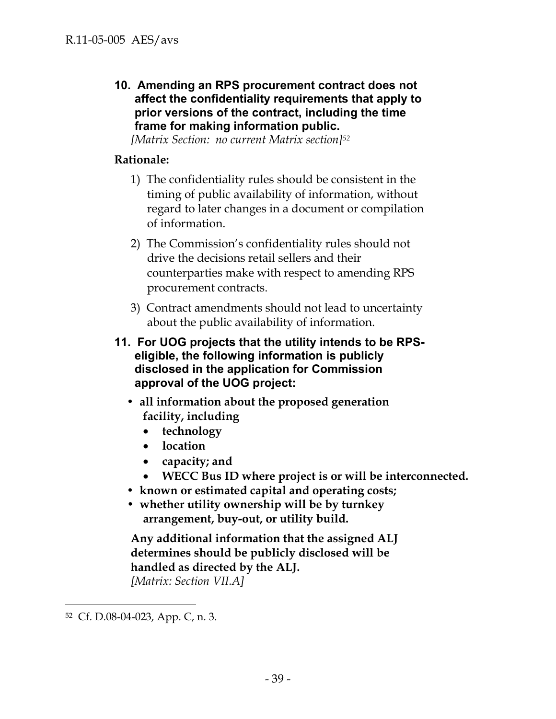**10. Amending an RPS procurement contract does not affect the confidentiality requirements that apply to prior versions of the contract, including the time frame for making information public.** 

*[Matrix Section: no current Matrix section]52*

### **Rationale:**

- 1) The confidentiality rules should be consistent in the timing of public availability of information, without regard to later changes in a document or compilation of information.
- 2) The Commission's confidentiality rules should not drive the decisions retail sellers and their counterparties make with respect to amending RPS procurement contracts.
- 3) Contract amendments should not lead to uncertainty about the public availability of information.
- **11. For UOG projects that the utility intends to be RPSeligible, the following information is publicly disclosed in the application for Commission approval of the UOG project:** 
	- **all information about the proposed generation facility, including** 
		- **technology**
		- **location**
		- **capacity; and**
		- **WECC Bus ID where project is or will be interconnected.**
	- **known or estimated capital and operating costs;**
	- **whether utility ownership will be by turnkey arrangement, buy-out, or utility build.**

**Any additional information that the assigned ALJ determines should be publicly disclosed will be handled as directed by the ALJ.**  *[Matrix: Section VII.A]* 

<sup>52</sup> Cf. D.08-04-023, App. C, n. 3.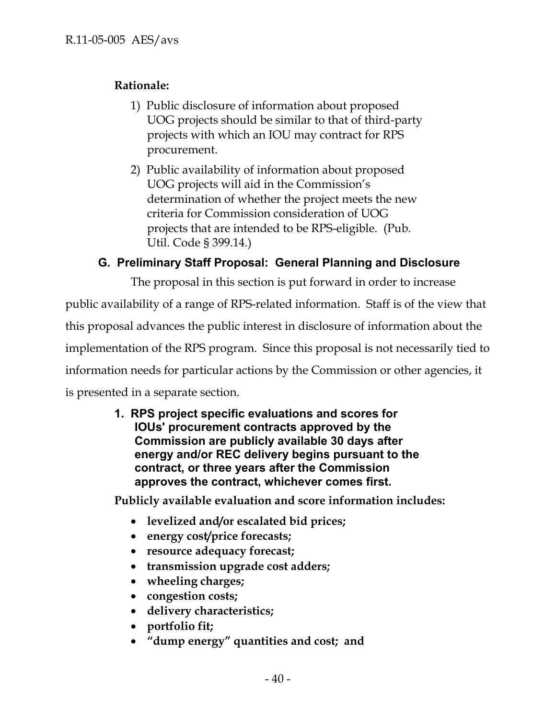# **Rationale:**

- 1) Public disclosure of information about proposed UOG projects should be similar to that of third-party projects with which an IOU may contract for RPS procurement.
- 2) Public availability of information about proposed UOG projects will aid in the Commission's determination of whether the project meets the new criteria for Commission consideration of UOG projects that are intended to be RPS-eligible. (Pub. Util. Code § 399.14.)

# **G. Preliminary Staff Proposal: General Planning and Disclosure**

The proposal in this section is put forward in order to increase

public availability of a range of RPS-related information. Staff is of the view that this proposal advances the public interest in disclosure of information about the implementation of the RPS program. Since this proposal is not necessarily tied to information needs for particular actions by the Commission or other agencies, it is presented in a separate section.

> **1. RPS project specific evaluations and scores for IOUs' procurement contracts approved by the Commission are publicly available 30 days after energy and/or REC delivery begins pursuant to the contract, or three years after the Commission approves the contract, whichever comes first.**

**Publicly available evaluation and score information includes:** 

- **levelized and/or escalated bid prices;**
- **energy cost/price forecasts;**
- **resource adequacy forecast;**
- **transmission upgrade cost adders;**
- **wheeling charges;**
- **congestion costs;**
- **delivery characteristics;**
- **portfolio fit;**
- **"dump energy" quantities and cost; and**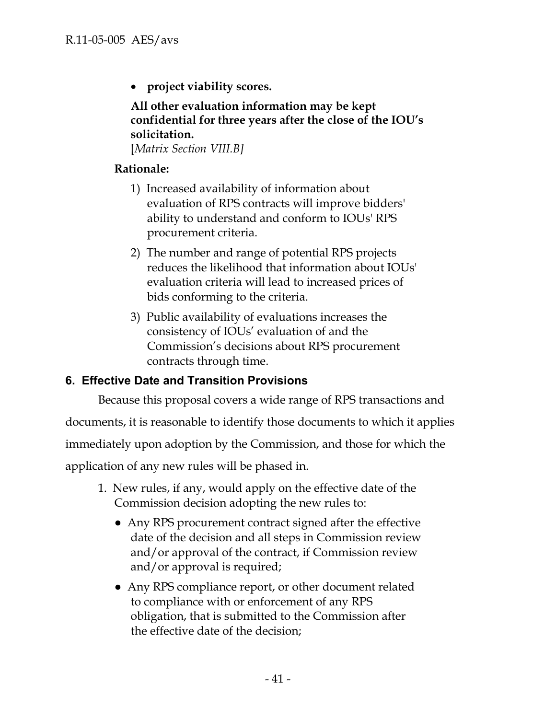**project viability scores.**

**All other evaluation information may be kept confidential for three years after the close of the IOU's solicitation.** 

[*Matrix Section VIII.B]*

# **Rationale:**

- 1) Increased availability of information about evaluation of RPS contracts will improve bidders' ability to understand and conform to IOUs' RPS procurement criteria.
- 2) The number and range of potential RPS projects reduces the likelihood that information about IOUs' evaluation criteria will lead to increased prices of bids conforming to the criteria.
- 3) Public availability of evaluations increases the consistency of IOUs' evaluation of and the Commission's decisions about RPS procurement contracts through time.

# **6. Effective Date and Transition Provisions**

Because this proposal covers a wide range of RPS transactions and

documents, it is reasonable to identify those documents to which it applies

immediately upon adoption by the Commission, and those for which the

application of any new rules will be phased in.

- 1. New rules, if any, would apply on the effective date of the Commission decision adopting the new rules to:
	- Any RPS procurement contract signed after the effective date of the decision and all steps in Commission review and/or approval of the contract, if Commission review and/or approval is required;
	- Any RPS compliance report, or other document related to compliance with or enforcement of any RPS obligation, that is submitted to the Commission after the effective date of the decision;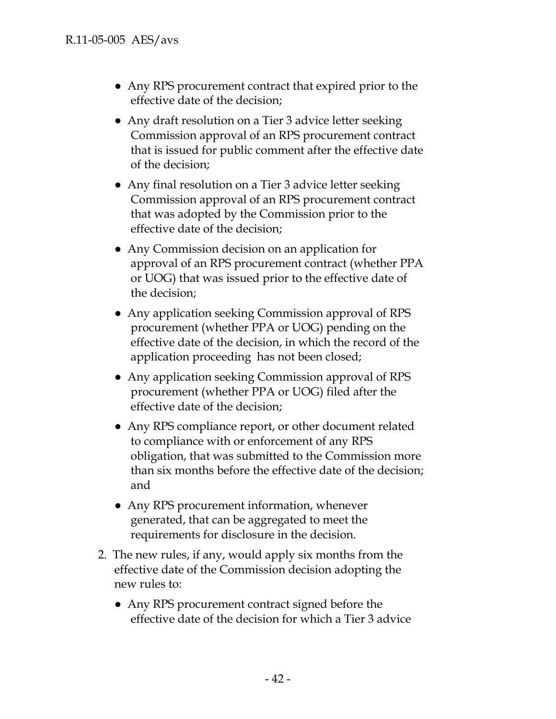- Any RPS procurement contract that expired prior to the effective date of the decision;
- Any draft resolution on a Tier 3 advice letter seeking Commission approval of an RPS procurement contract that is issued for public comment after the effective date of the decision;
- Any final resolution on a Tier 3 advice letter seeking Commission approval of an RPS procurement contract that was adopted by the Commission prior to the effective date of the decision;
- Any Commission decision on an application for approval of an RPS procurement contract (whether PPA or UOG) that was issued prior to the effective date of the decision;
- Any application seeking Commission approval of RPS procurement (whether PPA or UOG) pending on the effective date of the decision, in which the record of the application proceeding has not been closed;
- Any application seeking Commission approval of RPS procurement (whether PPA or UOG) filed after the effective date of the decision;
- Any RPS compliance report, or other document related to compliance with or enforcement of any RPS obligation, that was submitted to the Commission more than six months before the effective date of the decision; and
- Any RPS procurement information, whenever generated, that can be aggregated to meet the requirements for disclosure in the decision.
- 2. The new rules, if any, would apply six months from the effective date of the Commission decision adopting the new rules to:
	- Any RPS procurement contract signed before the effective date of the decision for which a Tier 3 advice